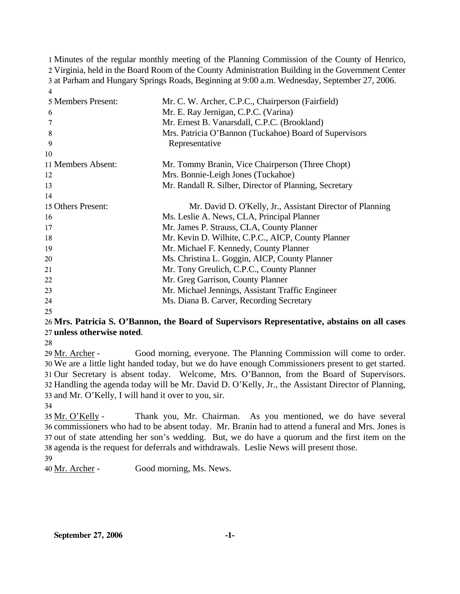Minutes of the regular monthly meeting of the Planning Commission of the County of Henrico, Virginia, held in the Board Room of the County Administration Building in the Government Center at Parham and Hungary Springs Roads, Beginning at 9:00 a.m. Wednesday, September 27, 2006. 4

| 5 Members Present:<br>6<br>8<br>9 | Mr. C. W. Archer, C.P.C., Chairperson (Fairfield)<br>Mr. E. Ray Jernigan, C.P.C. (Varina)<br>Mr. Ernest B. Vanarsdall, C.P.C. (Brookland)<br>Mrs. Patricia O'Bannon (Tuckahoe) Board of Supervisors<br>Representative |
|-----------------------------------|-----------------------------------------------------------------------------------------------------------------------------------------------------------------------------------------------------------------------|
| 10                                |                                                                                                                                                                                                                       |
| 11 Members Absent:                | Mr. Tommy Branin, Vice Chairperson (Three Chopt)                                                                                                                                                                      |
| 12                                | Mrs. Bonnie-Leigh Jones (Tuckahoe)                                                                                                                                                                                    |
| 13                                | Mr. Randall R. Silber, Director of Planning, Secretary                                                                                                                                                                |
| 14                                |                                                                                                                                                                                                                       |
| 15 Others Present:                | Mr. David D. O'Kelly, Jr., Assistant Director of Planning                                                                                                                                                             |
| 16                                | Ms. Leslie A. News, CLA, Principal Planner                                                                                                                                                                            |
| 17                                | Mr. James P. Strauss, CLA, County Planner                                                                                                                                                                             |
| 18                                | Mr. Kevin D. Wilhite, C.P.C., AICP, County Planner                                                                                                                                                                    |
| 19                                | Mr. Michael F. Kennedy, County Planner                                                                                                                                                                                |
| 20                                | Ms. Christina L. Goggin, AICP, County Planner                                                                                                                                                                         |
| 21                                | Mr. Tony Greulich, C.P.C., County Planner                                                                                                                                                                             |
| 22                                | Mr. Greg Garrison, County Planner                                                                                                                                                                                     |
| 23                                | Mr. Michael Jennings, Assistant Traffic Engineer                                                                                                                                                                      |
| 24                                | Ms. Diana B. Carver, Recording Secretary                                                                                                                                                                              |

25

# 26 **Mrs. Patricia S. O'Bannon, the Board of Supervisors Representative, abstains on all cases**  27 **unless otherwise noted**.

28

Good morning, everyone. The Planning Commission will come to order. We are a little light handed today, but we do have enough Commissioners present to get started. 30 31 Our Secretary is absent today. Welcome, Mrs. O'Bannon, from the Board of Supervisors. 32 Handling the agenda today will be Mr. David D. O'Kelly, Jr., the Assistant Director of Planning, 33 and Mr. O'Kelly, I will hand it over to you, sir. 29 Mr. Archer -

34

Thank you, Mr. Chairman. As you mentioned, we do have several 36 commissioners who had to be absent today. Mr. Branin had to attend a funeral and Mrs. Jones is 37 out of state attending her son's wedding. But, we do have a quorum and the first item on the 38 agenda is the request for deferrals and withdrawals. Leslie News will present those. 35 Mr. O'Kelly -

39

40 Mr. Archer - Good morning, Ms. News.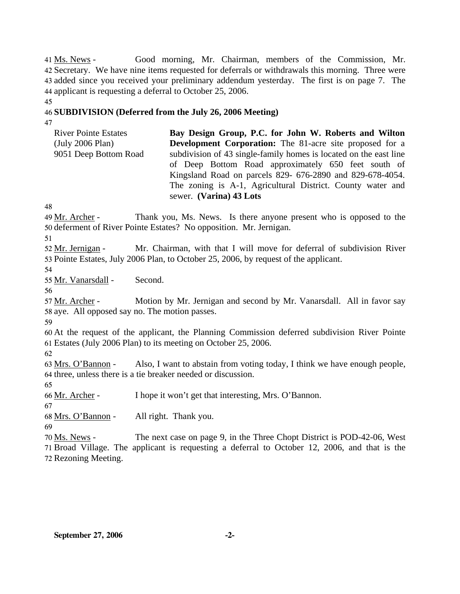Good morning, Mr. Chairman, members of the Commission, Mr. 42 Secretary. We have nine items requested for deferrals or withdrawals this morning. Three were 43 added since you received your preliminary addendum yesterday. The first is on page 7. The 44 applicant is requesting a deferral to October 25, 2006. 41 Ms. News -

## 46 **SUBDIVISION (Deferred from the July 26, 2006 Meeting)**

47

45

River Pointe Estates (July 2006 Plan) 9051 Deep Bottom Road **Bay Design Group, P.C. for John W. Roberts and Wilton Development Corporation:** The 81-acre site proposed for a subdivision of 43 single-family homes is located on the east line of Deep Bottom Road approximately 650 feet south of Kingsland Road on parcels 829- 676-2890 and 829-678-4054. The zoning is A-1, Agricultural District. County water and sewer. **(Varina) 43 Lots** 

48

Thank you, Ms. News. Is there anyone present who is opposed to the 50 deferment of River Pointe Estates? No opposition. Mr. Jernigan. 49 Mr. Archer -

51

Mr. Chairman, with that I will move for deferral of subdivision River 53 Pointe Estates, July 2006 Plan, to October 25, 2006, by request of the applicant. 52 Mr. Jernigan -

54

55 Mr. Vanarsdall - Second.

56

Motion by Mr. Jernigan and second by Mr. Vanarsdall. All in favor say 58 aye. All opposed say no. The motion passes. 57 Mr. Archer -

59

60 At the request of the applicant, the Planning Commission deferred subdivision River Pointe 61 Estates (July 2006 Plan) to its meeting on October 25, 2006.

62

Also, I want to abstain from voting today, I think we have enough people, 64 three, unless there is a tie breaker needed or discussion. 63 Mrs. O'Bannon -

65

66 Mr. Archer - I hope it won't get that interesting, Mrs. O'Bannon.

67 68 Mrs. O'Bannon - All right. Thank you.

69

The next case on page 9, in the Three Chopt District is POD-42-06, West 71 Broad Village. The applicant is requesting a deferral to October 12, 2006, and that is the 70 Ms. News -

72 Rezoning Meeting.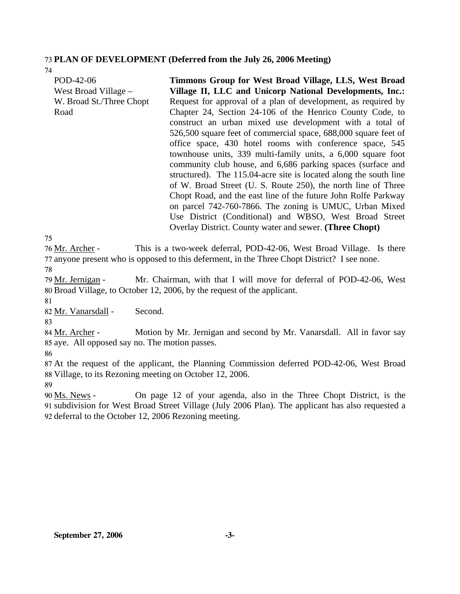### 73 **PLAN OF DEVELOPMENT (Deferred from the July 26, 2006 Meeting)**

74

| POD-42-06<br>West Broad Village – | Timmons Group for West Broad Village, LLS, West Broad<br>Village II, LLC and Unicorp National Developments, Inc.: |
|-----------------------------------|-------------------------------------------------------------------------------------------------------------------|
| W. Broad St./Three Chopt          | Request for approval of a plan of development, as required by                                                     |
| Road                              | Chapter 24, Section 24-106 of the Henrico County Code, to                                                         |
|                                   | construct an urban mixed use development with a total of                                                          |
|                                   | 526,500 square feet of commercial space, 688,000 square feet of                                                   |
|                                   | office space, 430 hotel rooms with conference space, 545                                                          |
|                                   | townhouse units, 339 multi-family units, a 6,000 square foot                                                      |
|                                   | community club house, and 6,686 parking spaces (surface and                                                       |
|                                   | structured). The 115.04-acre site is located along the south line                                                 |
|                                   | of W. Broad Street (U. S. Route 250), the north line of Three                                                     |
|                                   | Chopt Road, and the east line of the future John Rolfe Parkway                                                    |
|                                   | on parcel 742-760-7866. The zoning is UMUC, Urban Mixed                                                           |
|                                   | Use District (Conditional) and WBSO, West Broad Street                                                            |
|                                   | Overlay District. County water and sewer. (Three Chopt)                                                           |

75

This is a two-week deferral, POD-42-06, West Broad Village. Is there 77 anyone present who is opposed to this deferment, in the Three Chopt District? I see none. 76 Mr. Archer -

78

Mr. Chairman, with that I will move for deferral of POD-42-06, West Broad Village, to October 12, 2006, by the request of the applicant. 80 79 Mr. Jernigan -

81

82 Mr. Vanarsdall - Second.

83

Motion by Mr. Jernigan and second by Mr. Vanarsdall. All in favor say 85 aye. All opposed say no. The motion passes. 84 Mr. Archer -

86

87 At the request of the applicant, the Planning Commission deferred POD-42-06, West Broad 88 Village, to its Rezoning meeting on October 12, 2006.

89

On page 12 of your agenda, also in the Three Chopt District, is the 91 subdivision for West Broad Street Village (July 2006 Plan). The applicant has also requested a 92 deferral to the October 12, 2006 Rezoning meeting. 90 Ms. News -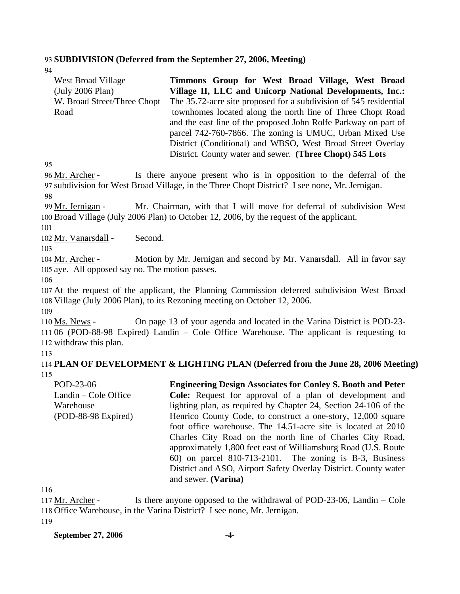#### 93 **SUBDIVISION (Deferred from the September 27, 2006, Meeting)**

94

| West Broad Village<br>(July 2006 Plan) | Timmons Group for West Broad Village, West Broad<br>Village II, LLC and Unicorp National Developments, Inc.: |
|----------------------------------------|--------------------------------------------------------------------------------------------------------------|
| W. Broad Street/Three Chopt            | The 35.72-acre site proposed for a subdivision of 545 residential                                            |
| Road                                   | townhomes located along the north line of Three Chopt Road                                                   |
|                                        | and the east line of the proposed John Rolfe Parkway on part of                                              |
|                                        | parcel 742-760-7866. The zoning is UMUC, Urban Mixed Use                                                     |
|                                        | District (Conditional) and WBSO, West Broad Street Overlay                                                   |
|                                        | District. County water and sewer. (Three Chopt) 545 Lots                                                     |

95

Is there anyone present who is in opposition to the deferral of the 97 subdivision for West Broad Village, in the Three Chopt District? I see none, Mr. Jernigan. 96 Mr. Archer -

98

Mr. Chairman, with that I will move for deferral of subdivision West 100 Broad Village (July 2006 Plan) to October 12, 2006, by the request of the applicant. 99 Mr. Jernigan -

101

102 Mr. Vanarsdall - Second.

103

Motion by Mr. Jernigan and second by Mr. Vanarsdall. All in favor say 105 aye. All opposed say no. The motion passes. 104 Mr. Archer -

106

107 At the request of the applicant, the Planning Commission deferred subdivision West Broad 108 Village (July 2006 Plan), to its Rezoning meeting on October 12, 2006.

109

On page 13 of your agenda and located in the Varina District is POD-23-111 06 (POD-88-98 Expired) Landin – Cole Office Warehouse. The applicant is requesting to 112 withdraw this plan. 110 Ms. News -

113

114 **PLAN OF DEVELOPMENT & LIGHTING PLAN (Deferred from the June 28, 2006 Meeting)**  115

POD-23-06 Landin – Cole Office Warehouse (POD-88-98 Expired) **Engineering Design Associates for Conley S. Booth and Peter Cole:** Request for approval of a plan of development and lighting plan, as required by Chapter 24, Section 24-106 of the Henrico County Code, to construct a one-story, 12,000 square foot office warehouse. The 14.51-acre site is located at 2010 Charles City Road on the north line of Charles City Road, approximately 1,800 feet east of Williamsburg Road (U.S. Route 60) on parcel 810-713-2101. The zoning is B-3, Business District and ASO, Airport Safety Overlay District. County water and sewer. **(Varina)** 

116

Is there anyone opposed to the withdrawal of POD-23-06, Landin – Cole 118 Office Warehouse, in the Varina District? I see none, Mr. Jernigan. 117 Mr. Archer -

119

**September 27, 2006 -4-**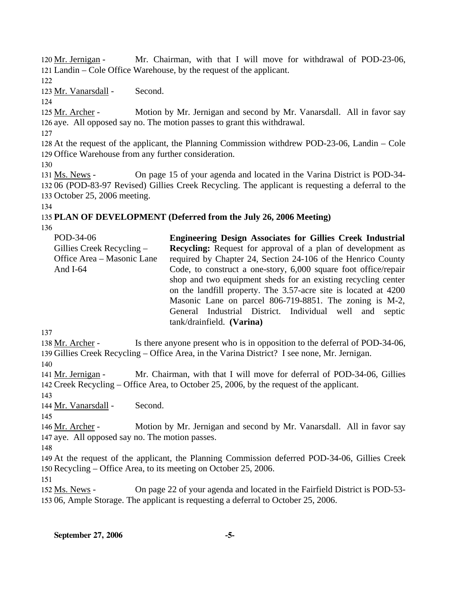Mr. Chairman, with that I will move for withdrawal of POD-23-06, Landin – Cole Office Warehouse, by the request of the applicant. 121 120 Mr. Jernigan -

122

123 Mr. Vanarsdall - Second.

 $124$ 

Motion by Mr. Jernigan and second by Mr. Vanarsdall. All in favor say 126 aye. All opposed say no. The motion passes to grant this withdrawal. 125 Mr. Archer -

127

128 At the request of the applicant, the Planning Commission withdrew POD-23-06, Landin – Cole 129 Office Warehouse from any further consideration.

130

On page 15 of your agenda and located in the Varina District is POD-34-06 (POD-83-97 Revised) Gillies Creek Recycling. The applicant is requesting a deferral to the 132 133 October 25, 2006 meeting. 131 Ms. News -

134

# 135 **PLAN OF DEVELOPMENT (Deferred from the July 26, 2006 Meeting)**

136

| POD-34-06<br>Gillies Creek Recycling $-$<br>Office Area – Masonic Lane<br>And $I-64$ | <b>Engineering Design Associates for Gillies Creek Industrial</b><br><b>Recycling:</b> Request for approval of a plan of development as<br>required by Chapter 24, Section 24-106 of the Henrico County<br>Code, to construct a one-story, 6,000 square foot office/repair<br>shop and two equipment sheds for an existing recycling center<br>on the landfill property. The 3.57-acre site is located at 4200<br>Masonic Lane on parcel 806-719-8851. The zoning is M-2, |
|--------------------------------------------------------------------------------------|---------------------------------------------------------------------------------------------------------------------------------------------------------------------------------------------------------------------------------------------------------------------------------------------------------------------------------------------------------------------------------------------------------------------------------------------------------------------------|
|                                                                                      | General Industrial District. Individual well and septic<br>tank/drainfield. (Varina)                                                                                                                                                                                                                                                                                                                                                                                      |

137

Is there anyone present who is in opposition to the deferral of POD-34-06, 139 Gillies Creek Recycling – Office Area, in the Varina District? I see none, Mr. Jernigan. 138 Mr. Archer -

140

Mr. Chairman, with that I will move for deferral of POD-34-06, Gillies Creek Recycling – Office Area, to October 25, 2006, by the request of the applicant. 142 141 Mr. Jernigan -

143

144 Mr. Vanarsdall - Second.

145

Motion by Mr. Jernigan and second by Mr. Vanarsdall. All in favor say 147 aye. All opposed say no. The motion passes. 146 Mr. Archer -

148

149 At the request of the applicant, the Planning Commission deferred POD-34-06, Gillies Creek 150 Recycling – Office Area, to its meeting on October 25, 2006.

151

On page 22 of your agenda and located in the Fairfield District is POD-53-06, Ample Storage. The applicant is requesting a deferral to October 25, 2006. 153 152 Ms. News -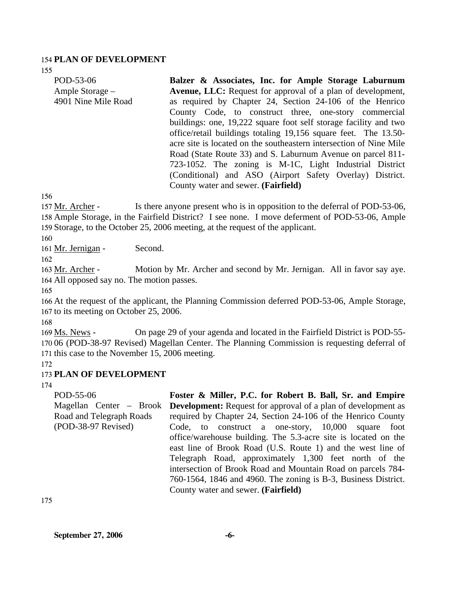#### 154 **PLAN OF DEVELOPMENT**

155

| POD-53-06           | Balzer & Associates, Inc. for Ample Storage Laburnum               |
|---------------------|--------------------------------------------------------------------|
| Ample Storage –     | <b>Avenue, LLC:</b> Request for approval of a plan of development, |
| 4901 Nine Mile Road | as required by Chapter 24, Section 24-106 of the Henrico           |
|                     | County Code, to construct three, one-story commercial              |
|                     | buildings: one, 19,222 square foot self storage facility and two   |
|                     | office/retail buildings totaling 19,156 square feet. The 13.50-    |
|                     | acre site is located on the southeastern intersection of Nine Mile |
|                     | Road (State Route 33) and S. Laburnum Avenue on parcel 811-        |
|                     | 723-1052. The zoning is M-1C, Light Industrial District            |
|                     | (Conditional) and ASO (Airport Safety Overlay) District.           |
|                     | County water and sewer. (Fairfield)                                |

156

Is there anyone present who is in opposition to the deferral of POD-53-06, 158 Ample Storage, in the Fairfield District? I see none. I move deferment of POD-53-06, Ample 159 Storage, to the October 25, 2006 meeting, at the request of the applicant. 157 Mr. Archer -

160

161 Mr. Jernigan - Second.

162

Motion by Mr. Archer and second by Mr. Jernigan. All in favor say aye. 164 All opposed say no. The motion passes. 163 Mr. Archer -

165

166 At the request of the applicant, the Planning Commission deferred POD-53-06, Ample Storage, 167 to its meeting on October 25, 2006.

168

On page 29 of your agenda and located in the Fairfield District is POD-55-170 06 (POD-38-97 Revised) Magellan Center. The Planning Commission is requesting deferral of 171 this case to the November 15, 2006 meeting. 169 Ms. News -

172

### 173 **PLAN OF DEVELOPMENT**

174

POD-55-06 Magellan Center – Brook Road and Telegraph Roads (POD-38-97 Revised) **Foster & Miller, P.C. for Robert B. Ball, Sr. and Empire Development:** Request for approval of a plan of development as required by Chapter 24, Section 24-106 of the Henrico County Code, to construct a one-story, 10,000 square foot office/warehouse building. The 5.3-acre site is located on the east line of Brook Road (U.S. Route 1) and the west line of Telegraph Road, approximately 1,300 feet north of the intersection of Brook Road and Mountain Road on parcels 784- 760-1564, 1846 and 4960. The zoning is B-3, Business District. County water and sewer. **(Fairfield)** 

175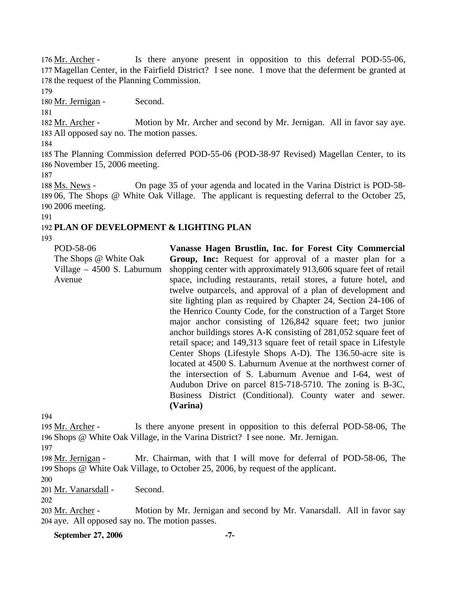Is there anyone present in opposition to this deferral POD-55-06, 177 Magellan Center, in the Fairfield District? I see none. I move that the deferment be granted at 178 the request of the Planning Commission. 176 Mr. Archer -

179

180 Mr. Jernigan - Second.

181

Motion by Mr. Archer and second by Mr. Jernigan. All in favor say aye. All opposed say no. The motion passes. 183 182 Mr. Archer -

184

185 The Planning Commission deferred POD-55-06 (POD-38-97 Revised) Magellan Center, to its 186 November 15, 2006 meeting.

187

On page 35 of your agenda and located in the Varina District is POD-58-189 06, The Shops @ White Oak Village. The applicant is requesting deferral to the October 25, 2006 meeting. 190 188 Ms. News -

191

## 192 **PLAN OF DEVELOPMENT & LIGHTING PLAN**

193

POD-58-06 The Shops @ White Oak Village – 4500 S. Laburnum Avenue

**Vanasse Hagen Brustlin, Inc. for Forest City Commercial Group, Inc:** Request for approval of a master plan for a shopping center with approximately 913,606 square feet of retail space, including restaurants, retail stores, a future hotel, and twelve outparcels, and approval of a plan of development and site lighting plan as required by Chapter 24, Section 24-106 of the Henrico County Code, for the construction of a Target Store major anchor consisting of 126,842 square feet; two junior anchor buildings stores A-K consisting of 281,052 square feet of retail space; and 149,313 square feet of retail space in Lifestyle Center Shops (Lifestyle Shops A-D). The 136.50-acre site is located at 4500 S. Laburnum Avenue at the northwest corner of the intersection of S. Laburnum Avenue and I-64, west of Audubon Drive on parcel 815-718-5710. The zoning is B-3C, Business District (Conditional). County water and sewer. **(Varina)** 

194

Is there anyone present in opposition to this deferral POD-58-06, The 196 Shops @ White Oak Village, in the Varina District? I see none. Mr. Jernigan. 195 Mr. Archer -

197

Mr. Chairman, with that I will move for deferral of POD-58-06, The 199 Shops @ White Oak Village, to October 25, 2006, by request of the applicant. 198 Mr. Jernigan -

200

201 Mr. Vanarsdall - Second.

202

Motion by Mr. Jernigan and second by Mr. Vanarsdall. All in favor say 204 aye. All opposed say no. The motion passes. 203 Mr. Archer -

**September 27, 2006** -7-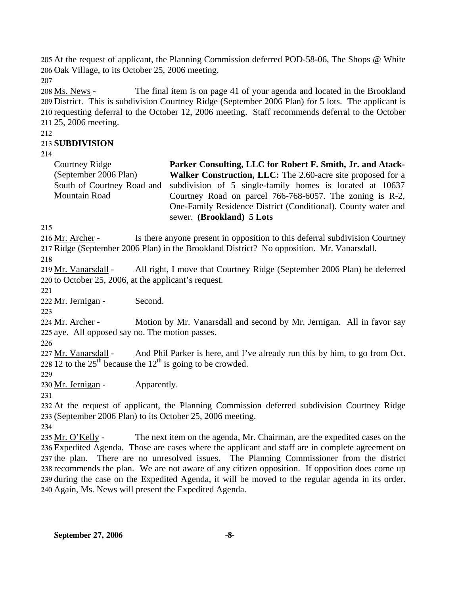205 At the request of applicant, the Planning Commission deferred POD-58-06, The Shops @ White 206 Oak Village, to its October 25, 2006 meeting.

207

The final item is on page 41 of your agenda and located in the Brookland 209 District. This is subdivision Courtney Ridge (September 2006 Plan) for 5 lots. The applicant is 210 requesting deferral to the October 12, 2006 meeting. Staff recommends deferral to the October 211 25, 2006 meeting. 208 Ms. News -

212

### 213 **SUBDIVISION**

214

| Courtney Ridge             | Parker Consulting, LLC for Robert F. Smith, Jr. and Atack-    |
|----------------------------|---------------------------------------------------------------|
| (September 2006 Plan)      | Walker Construction, LLC: The 2.60-acre site proposed for a   |
| South of Courtney Road and | subdivision of 5 single-family homes is located at 10637      |
| Mountain Road              | Courtney Road on parcel 766-768-6057. The zoning is R-2,      |
|                            | One-Family Residence District (Conditional). County water and |
|                            | sewer. (Brookland) 5 Lots                                     |

215

Is there anyone present in opposition to this deferral subdivision Courtney 217 Ridge (September 2006 Plan) in the Brookland District? No opposition. Mr. Vanarsdall. 216 Mr. Archer -

218

All right, I move that Courtney Ridge (September 2006 Plan) be deferred  $220$  to October 25, 2006, at the applicant's request. 219 Mr. Vanarsdall -

221

222 Mr. Jernigan - Second.

223

Motion by Mr. Vanarsdall and second by Mr. Jernigan. All in favor say 225 aye. All opposed say no. The motion passes. 224 Mr. Archer -

226

And Phil Parker is here, and I've already run this by him, to go from Oct. 228  $\overline{12}$  to the  $25^{\text{th}}$  because the  $12^{\text{th}}$  is going to be crowded. 227 Mr. Vanarsdall -

229

230 Mr. Jernigan - Apparently.

231

232 At the request of applicant, the Planning Commission deferred subdivision Courtney Ridge 233 (September 2006 Plan) to its October 25, 2006 meeting.

234

The next item on the agenda, Mr. Chairman, are the expedited cases on the Expedited Agenda. Those are cases where the applicant and staff are in complete agreement on 236 237 the plan. There are no unresolved issues. The Planning Commissioner from the district 238 recommends the plan. We are not aware of any citizen opposition. If opposition does come up 239 during the case on the Expedited Agenda, it will be moved to the regular agenda in its order. 240 Again, Ms. News will present the Expedited Agenda. 235 Mr. O'Kelly -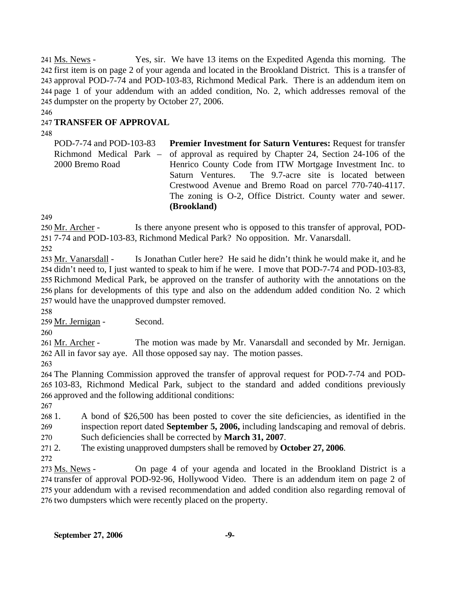Yes, sir. We have 13 items on the Expedited Agenda this morning. The 242 first item is on page 2 of your agenda and located in the Brookland District. This is a transfer of 243 approval POD-7-74 and POD-103-83, Richmond Medical Park. There is an addendum item on 244 page 1 of your addendum with an added condition, No. 2, which addresses removal of the 245 dumpster on the property by October 27, 2006. 241 Ms. News -

246

# 247 **TRANSFER OF APPROVAL**

248

POD-7-74 and POD-103-83 Richmond Medical Park – 2000 Bremo Road **Premier Investment for Saturn Ventures:** Request for transfer of approval as required by Chapter 24, Section 24-106 of the Henrico County Code from ITW Mortgage Investment Inc. to Saturn Ventures. The 9.7-acre site is located between Crestwood Avenue and Bremo Road on parcel 770-740-4117. The zoning is O-2, Office District. County water and sewer. **(Brookland)** 

249

Is there anyone present who is opposed to this transfer of approval, POD-7-74 and POD-103-83, Richmond Medical Park? No opposition. Mr. Vanarsdall. 251 250 Mr. Archer -

252

Is Jonathan Cutler here? He said he didn't think he would make it, and he 254 didn't need to, I just wanted to speak to him if he were. I move that POD-7-74 and POD-103-83, 255 Richmond Medical Park, be approved on the transfer of authority with the annotations on the 256 plans for developments of this type and also on the addendum added condition No. 2 which 257 would have the unapproved dumpster removed. 253 Mr. Vanarsdall -

258

259 Mr. Jernigan - Second.

260

The motion was made by Mr. Vanarsdall and seconded by Mr. Jernigan. All in favor say aye. All those opposed say nay. The motion passes. 262 261 Mr. Archer -

263

264 The Planning Commission approved the transfer of approval request for POD-7-74 and POD-265 103-83, Richmond Medical Park, subject to the standard and added conditions previously 266 approved and the following additional conditions:

267

 $2681$ . 269 1. A bond of \$26,500 has been posted to cover the site deficiencies, as identified in the inspection report dated **September 5, 2006,** including landscaping and removal of debris.

270 Such deficiencies shall be corrected by **March 31, 2007**.

 $2712$ 2. The existing unapproved dumpsters shall be removed by **October 27, 2006**.

272

On page 4 of your agenda and located in the Brookland District is a 274 transfer of approval POD-92-96, Hollywood Video. There is an addendum item on page 2 of 275 your addendum with a revised recommendation and added condition also regarding removal of 276 two dumpsters which were recently placed on the property. 273 Ms. News -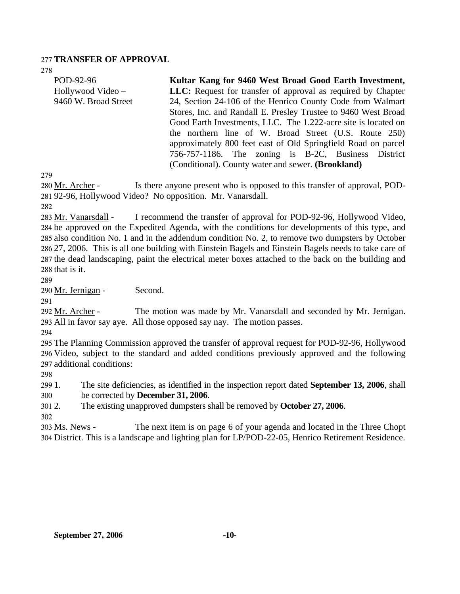### 277 **TRANSFER OF APPROVAL**

278

| POD-92-96            | Kultar Kang for 9460 West Broad Good Earth Investment,              |
|----------------------|---------------------------------------------------------------------|
| Hollywood Video –    | <b>LLC:</b> Request for transfer of approval as required by Chapter |
| 9460 W. Broad Street | 24, Section 24-106 of the Henrico County Code from Walmart          |
|                      | Stores, Inc. and Randall E. Presley Trustee to 9460 West Broad      |
|                      | Good Earth Investments, LLC. The 1.222-acre site is located on      |
|                      | the northern line of W. Broad Street (U.S. Route 250)               |
|                      | approximately 800 feet east of Old Springfield Road on parcel       |
|                      | 756-757-1186. The zoning is B-2C, Business District                 |
|                      | (Conditional). County water and sewer. (Brookland)                  |

279

Is there anyone present who is opposed to this transfer of approval, POD-92-96, Hollywood Video? No opposition. Mr. Vanarsdall. 281 280 Mr. Archer -

282

I recommend the transfer of approval for POD-92-96, Hollywood Video, 284 be approved on the Expedited Agenda, with the conditions for developments of this type, and 285 also condition No. 1 and in the addendum condition No. 2, to remove two dumpsters by October 27, 2006. This is all one building with Einstein Bagels and Einstein Bagels needs to take care of 286 287 the dead landscaping, paint the electrical meter boxes attached to the back on the building and 288 that is it. 283 Mr. Vanarsdall -

289

290 Mr. Jernigan - Second.

291

The motion was made by Mr. Vanarsdall and seconded by Mr. Jernigan. All in favor say aye. All those opposed say nay. The motion passes. 293 292 Mr. Archer -

294

295 The Planning Commission approved the transfer of approval request for POD-92-96, Hollywood 296 Video, subject to the standard and added conditions previously approved and the following 297 additional conditions:

298

299 1 300 1. The site deficiencies, as identified in the inspection report dated **September 13, 2006**, shall be corrected by **December 31, 2006**.

301 2. 2. The existing unapproved dumpsters shall be removed by **October 27, 2006**.

302 The next item is on page 6 of your agenda and located in the Three Chopt 304 District. This is a landscape and lighting plan for LP/POD-22-05, Henrico Retirement Residence. 303 Ms. News -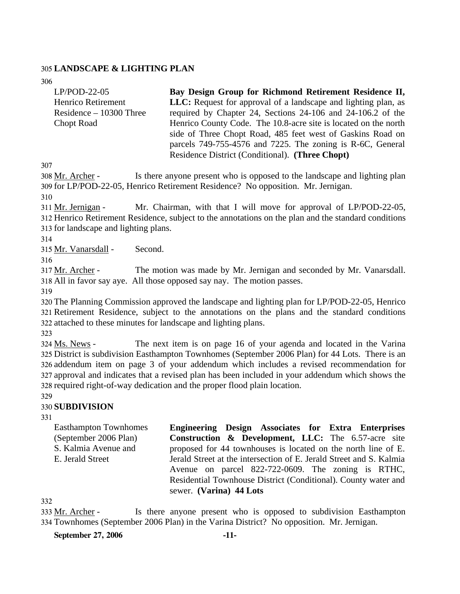### 305 **LANDSCAPE & LIGHTING PLAN**

306

| $LP/POD-22-05$            | Bay Design Group for Richmond Retirement Residence II,                |
|---------------------------|-----------------------------------------------------------------------|
| Henrico Retirement        | <b>LLC:</b> Request for approval of a landscape and lighting plan, as |
| $Residence - 10300$ Three | required by Chapter 24, Sections 24-106 and 24-106.2 of the           |
| <b>Chopt Road</b>         | Henrico County Code. The 10.8-acre site is located on the north       |
|                           | side of Three Chopt Road, 485 feet west of Gaskins Road on            |
|                           | parcels 749-755-4576 and 7225. The zoning is R-6C, General            |
|                           | Residence District (Conditional). (Three Chopt)                       |

307

Is there anyone present who is opposed to the landscape and lighting plan 309 for LP/POD-22-05, Henrico Retirement Residence? No opposition. Mr. Jernigan. 308 Mr. Archer -

310

Mr. Chairman, with that I will move for approval of  $LP/POD-22-05$ , 312 Henrico Retirement Residence, subject to the annotations on the plan and the standard conditions 313 for landscape and lighting plans. 311 Mr. Jernigan -

314

315 Mr. Vanarsdall - Second.

316

The motion was made by Mr. Jernigan and seconded by Mr. Vanarsdall. All in favor say aye. All those opposed say nay. The motion passes. 318 317 Mr. Archer -

319

320 The Planning Commission approved the landscape and lighting plan for LP/POD-22-05, Henrico 321 Retirement Residence, subject to the annotations on the plans and the standard conditions 322 attached to these minutes for landscape and lighting plans.

323

The next item is on page 16 of your agenda and located in the Varina 325 District is subdivision Easthampton Townhomes (September 2006 Plan) for 44 Lots. There is an 326 addendum item on page 3 of your addendum which includes a revised recommendation for 327 approval and indicates that a revised plan has been included in your addendum which shows the 328 required right-of-way dedication and the proper flood plain location. 324 Ms. News -

329

### 330 **SUBDIVISION**

331

Easthampton Townhomes (September 2006 Plan) S. Kalmia Avenue and E. Jerald Street **Engineering Design Associates for Extra Enterprises Construction & Development, LLC:** The 6.57-acre site proposed for 44 townhouses is located on the north line of E. Jerald Street at the intersection of E. Jerald Street and S. Kalmia Avenue on parcel 822-722-0609. The zoning is RTHC, Residential Townhouse District (Conditional). County water and sewer. **(Varina) 44 Lots** 

332

Is there anyone present who is opposed to subdivision Easthampton Townhomes (September 2006 Plan) in the Varina District? No opposition. Mr. Jernigan. 334 333 Mr. Archer -

**September 27, 2006 -11-**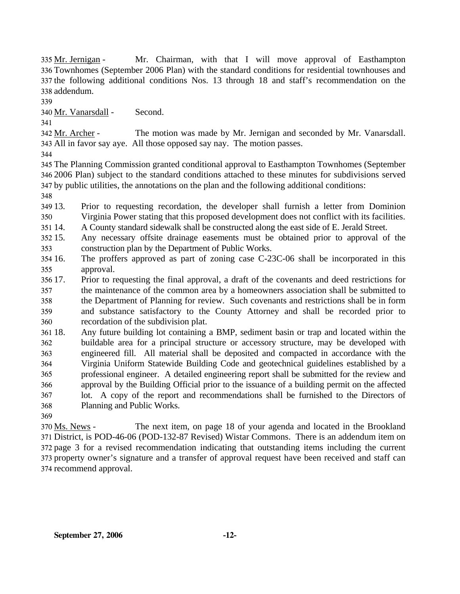Mr. Chairman, with that I will move approval of Easthampton Townhomes (September 2006 Plan) with the standard conditions for residential townhouses and 336 337 the following additional conditions Nos. 13 through 18 and staff's recommendation on the addendum. 338 335 Mr. Jernigan -

339

340 Mr. Vanarsdall - Second.

341

The motion was made by Mr. Jernigan and seconded by Mr. Vanarsdall. All in favor say aye. All those opposed say nay. The motion passes. 343 342 Mr. Archer -

344

345 The Planning Commission granted conditional approval to Easthampton Townhomes (September 346 2006 Plan) subject to the standard conditions attached to these minutes for subdivisions served 347 by public utilities, the annotations on the plan and the following additional conditions:

348

349 13. 350 Prior to requesting recordation, the developer shall furnish a letter from Dominion Virginia Power stating that this proposed development does not conflict with its facilities.

351 14. 14. A County standard sidewalk shall be constructed along the east side of E. Jerald Street.

- $352\,15$ . 353 Any necessary offsite drainage easements must be obtained prior to approval of the construction plan by the Department of Public Works.
- 354 16. 355 The proffers approved as part of zoning case C-23C-06 shall be incorporated in this approval.

356 17. 357 358 359 360 17. Prior to requesting the final approval, a draft of the covenants and deed restrictions for the maintenance of the common area by a homeowners association shall be submitted to the Department of Planning for review. Such covenants and restrictions shall be in form and substance satisfactory to the County Attorney and shall be recorded prior to recordation of the subdivision plat.

361 362 363 364 365 366 367 368 Any future building lot containing a BMP, sediment basin or trap and located within the buildable area for a principal structure or accessory structure, may be developed with engineered fill. All material shall be deposited and compacted in accordance with the Virginia Uniform Statewide Building Code and geotechnical guidelines established by a professional engineer. A detailed engineering report shall be submitted for the review and approval by the Building Official prior to the issuance of a building permit on the affected lot. A copy of the report and recommendations shall be furnished to the Directors of Planning and Public Works.

369

The next item, on page 18 of your agenda and located in the Brookland District, is POD-46-06 (POD-132-87 Revised) Wistar Commons. There is an addendum item on 371 372 page 3 for a revised recommendation indicating that outstanding items including the current 373 property owner's signature and a transfer of approval request have been received and staff can 374 recommend approval. 370 Ms. News -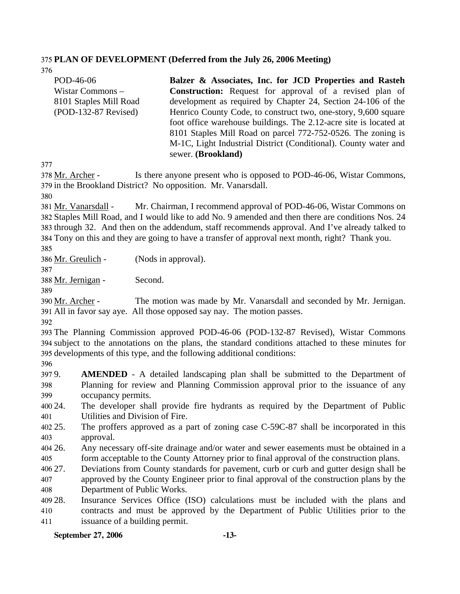## 375 **PLAN OF DEVELOPMENT (Deferred from the July 26, 2006 Meeting)**

376

| POD-46-06              | Balzer & Associates, Inc. for JCD Properties and Rasteh           |
|------------------------|-------------------------------------------------------------------|
| Wistar Commons -       | <b>Construction:</b> Request for approval of a revised plan of    |
| 8101 Staples Mill Road | development as required by Chapter 24, Section 24-106 of the      |
| $(POD-132-87$ Revised) | Henrico County Code, to construct two, one-story, 9,600 square    |
|                        | foot office warehouse buildings. The 2.12-acre site is located at |
|                        | 8101 Staples Mill Road on parcel 772-752-0526. The zoning is      |
|                        | M-1C, Light Industrial District (Conditional). County water and   |
|                        | sewer. (Brookland)                                                |

377

Is there anyone present who is opposed to POD-46-06, Wistar Commons, 379 in the Brookland District? No opposition. Mr. Vanarsdall. 378 Mr. Archer -

380

Mr. Chairman, I recommend approval of POD-46-06, Wistar Commons on Staples Mill Road, and I would like to add No. 9 amended and then there are conditions Nos. 24 382 383 through 32. And then on the addendum, staff recommends approval. And I've already talked to Tony on this and they are going to have a transfer of approval next month, right? Thank you. 384 381 Mr. Vanarsdall -

385

386 Mr. Greulich - (Nods in approval).

388 Mr. Jernigan - Second.

389

387

The motion was made by Mr. Vanarsdall and seconded by Mr. Jernigan. All in favor say aye. All those opposed say nay. The motion passes. 391 390 Mr. Archer -

392

393 The Planning Commission approved POD-46-06 (POD-132-87 Revised), Wistar Commons 394 subject to the annotations on the plans, the standard conditions attached to these minutes for 395 developments of this type, and the following additional conditions:

396

397 9. 398 399 **AMENDED** - A detailed landscaping plan shall be submitted to the Department of Planning for review and Planning Commission approval prior to the issuance of any occupancy permits.

400 24. 401 The developer shall provide fire hydrants as required by the Department of Public Utilities and Division of Fire.

402 25. 403 The proffers approved as a part of zoning case C-59C-87 shall be incorporated in this approval.

404 26. 405 Any necessary off-site drainage and/or water and sewer easements must be obtained in a form acceptable to the County Attorney prior to final approval of the construction plans.

406 27. 407 Deviations from County standards for pavement, curb or curb and gutter design shall be approved by the County Engineer prior to final approval of the construction plans by the

408 Department of Public Works.

409 28. 410 411 Insurance Services Office (ISO) calculations must be included with the plans and contracts and must be approved by the Department of Public Utilities prior to the issuance of a building permit.

### **September 27, 2006 -13-**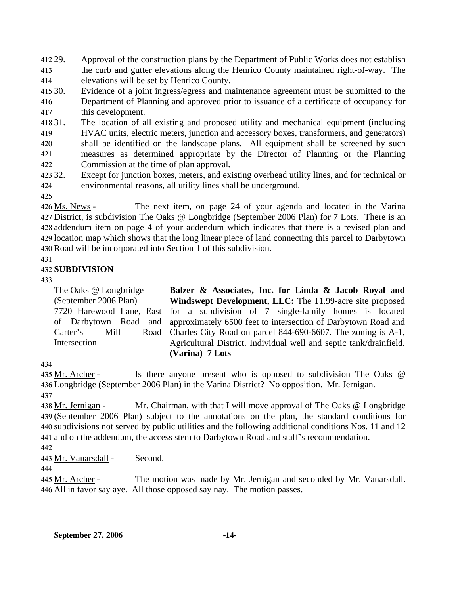412 29. 413 414 Approval of the construction plans by the Department of Public Works does not establish the curb and gutter elevations along the Henrico County maintained right-of-way. The elevations will be set by Henrico County.

415 30. 416 417 Evidence of a joint ingress/egress and maintenance agreement must be submitted to the Department of Planning and approved prior to issuance of a certificate of occupancy for this development.

418 31. 419 420 421 422 31. The location of all existing and proposed utility and mechanical equipment (including HVAC units, electric meters, junction and accessory boxes, transformers, and generators) shall be identified on the landscape plans. All equipment shall be screened by such measures as determined appropriate by the Director of Planning or the Planning Commission at the time of plan approval**.**

423 32. 424 Except for junction boxes, meters, and existing overhead utility lines, and for technical or environmental reasons, all utility lines shall be underground.

425

The next item, on page 24 of your agenda and located in the Varina 427 District, is subdivision The Oaks @ Longbridge (September 2006 Plan) for 7 Lots. There is an 428 addendum item on page 4 of your addendum which indicates that there is a revised plan and 429 location map which shows that the long linear piece of land connecting this parcel to Darbytown Road will be incorporated into Section 1 of this subdivision. 430 426 Ms. News -

### 431

## 432 **SUBDIVISION**

433

The Oaks @ Longbridge (September 2006 Plan) 7720 Harewood Lane, East of Darbytown Road and Carter's Mill Road Intersection

**Balzer & Associates, Inc. for Linda & Jacob Royal and Windswept Development, LLC:** The 11.99-acre site proposed for a subdivision of 7 single-family homes is located approximately 6500 feet to intersection of Darbytown Road and Charles City Road on parcel 844-690-6607. The zoning is A-1, Agricultural District. Individual well and septic tank/drainfield. **(Varina) 7 Lots** 

### 434

Is there anyone present who is opposed to subdivision The Oaks  $@$ Longbridge (September 2006 Plan) in the Varina District? No opposition. Mr. Jernigan. 436 435 Mr. Archer -

437

Mr. Chairman, with that I will move approval of The Oaks  $@$  Longbridge (September 2006 Plan) subject to the annotations on the plan, the standard conditions for 439 440 subdivisions not served by public utilities and the following additional conditions Nos. 11 and 12 441 and on the addendum, the access stem to Darbytown Road and staff's recommendation. 438 Mr. Jernigan -

442

443 Mr. Vanarsdall - Second.

444

The motion was made by Mr. Jernigan and seconded by Mr. Vanarsdall. All in favor say aye. All those opposed say nay. The motion passes. 446 445 Mr. Archer -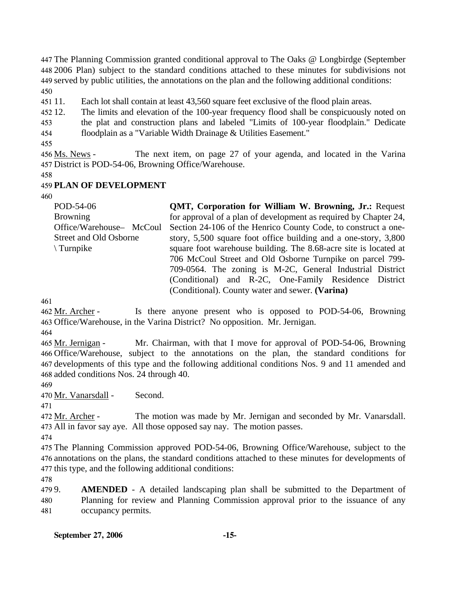The Planning Commission granted conditional approval to The Oaks @ Longbirdge (September 2006 Plan) subject to the standard conditions attached to these minutes for subdivisions not served by public utilities, the annotations on the plan and the following additional conditions: 450

451 11. Each lot shall contain at least 43,560 square feet exclusive of the flood plain areas.

452 12. The limits and elevation of the 100-year frequency flood shall be conspicuously noted on

453 the plat and construction plans and labeled "Limits of 100-year floodplain." Dedicate

454 floodplain as a "Variable Width Drainage & Utilities Easement."

455

The next item, on page 27 of your agenda, and located in the Varina District is POD-54-06, Browning Office/Warehouse. 457 456 Ms. News -

458

### 459 **PLAN OF DEVELOPMENT**

460

| POD-54-06                | <b>QMT, Corporation for William W. Browning, Jr.: Request</b>    |
|--------------------------|------------------------------------------------------------------|
| <b>Browning</b>          | for approval of a plan of development as required by Chapter 24, |
| Office/Warehouse- McCoul | Section 24-106 of the Henrico County Code, to construct a one-   |
| Street and Old Osborne   | story, 5,500 square foot office building and a one-story, 3,800  |
| Turnpike                 | square foot warehouse building. The 8.68-acre site is located at |
|                          | 706 McCoul Street and Old Osborne Turnpike on parcel 799-        |
|                          | 709-0564. The zoning is M-2C, General Industrial District        |
|                          | (Conditional) and R-2C, One-Family Residence District            |
|                          | (Conditional). County water and sewer. (Varina)                  |

461

Is there anyone present who is opposed to POD-54-06, Browning 463 Office/Warehouse, in the Varina District? No opposition. Mr. Jernigan. 462 Mr. Archer -

464

Mr. Chairman, with that I move for approval of POD-54-06, Browning Office/Warehouse, subject to the annotations on the plan, the standard conditions for 466 467 developments of this type and the following additional conditions Nos. 9 and 11 amended and 468 added conditions Nos. 24 through 40. 465 Mr. Jernigan -

469

470 Mr. Vanarsdall - Second.

471

The motion was made by Mr. Jernigan and seconded by Mr. Vanarsdall. 473 All in favor say aye. All those opposed say nay. The motion passes. 472 Mr. Archer -

474

475 The Planning Commission approved POD-54-06, Browning Office/Warehouse, subject to the 476 annotations on the plans, the standard conditions attached to these minutes for developments of 477 this type, and the following additional conditions:

478

479 9. 480 481 AMENDED - A detailed landscaping plan shall be submitted to the Department of Planning for review and Planning Commission approval prior to the issuance of any occupancy permits.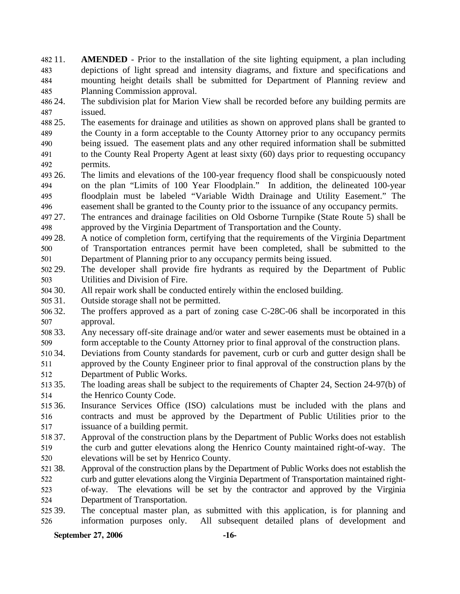482 11. 483 484 485 **AMENDED** - Prior to the installation of the site lighting equipment, a plan including depictions of light spread and intensity diagrams, and fixture and specifications and mounting height details shall be submitted for Department of Planning review and Planning Commission approval.

486 24. 487 The subdivision plat for Marion View shall be recorded before any building permits are issued.

488 25. 489 490 25. The easements for drainage and utilities as shown on approved plans shall be granted to the County in a form acceptable to the County Attorney prior to any occupancy permits being issued. The easement plats and any other required information shall be submitted

491 492 to the County Real Property Agent at least sixty (60) days prior to requesting occupancy permits.

493 26. 494 495 496 26. The limits and elevations of the 100-year frequency flood shall be conspicuously noted on the plan "Limits of 100 Year Floodplain." In addition, the delineated 100-year floodplain must be labeled "Variable Width Drainage and Utility Easement." The easement shall be granted to the County prior to the issuance of any occupancy permits.

497 27. 498 27. The entrances and drainage facilities on Old Osborne Turnpike (State Route 5) shall be approved by the Virginia Department of Transportation and the County.

499 28. 500 501 A notice of completion form, certifying that the requirements of the Virginia Department of Transportation entrances permit have been completed, shall be submitted to the Department of Planning prior to any occupancy permits being issued.

502 29. 503 The developer shall provide fire hydrants as required by the Department of Public Utilities and Division of Fire.

504 30. All repair work shall be conducted entirely within the enclosed building.

505 31. Outside storage shall not be permitted.

506 32. 507 The proffers approved as a part of zoning case  $C-28C-06$  shall be incorporated in this approval.

508 33. 509 Any necessary off-site drainage and/or water and sewer easements must be obtained in a form acceptable to the County Attorney prior to final approval of the construction plans.

510 34. 511 512 Deviations from County standards for pavement, curb or curb and gutter design shall be approved by the County Engineer prior to final approval of the construction plans by the Department of Public Works.

513 35. 514 The loading areas shall be subject to the requirements of Chapter 24, Section 24-97(b) of the Henrico County Code.

515 36. 516 517 Insurance Services Office (ISO) calculations must be included with the plans and contracts and must be approved by the Department of Public Utilities prior to the issuance of a building permit.

518 37. 519 520 Approval of the construction plans by the Department of Public Works does not establish the curb and gutter elevations along the Henrico County maintained right-of-way. The elevations will be set by Henrico County.

521 38. 522 523 Approval of the construction plans by the Department of Public Works does not establish the curb and gutter elevations along the Virginia Department of Transportation maintained rightof-way. The elevations will be set by the contractor and approved by the Virginia

524 Department of Transportation.

525 39. 526 The conceptual master plan, as submitted with this application, is for planning and information purposes only. All subsequent detailed plans of development and

**September 27, 2006 -16-**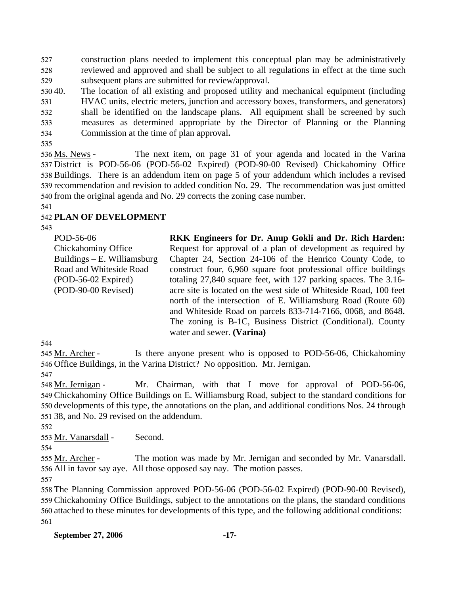527 528 529 construction plans needed to implement this conceptual plan may be administratively reviewed and approved and shall be subject to all regulations in effect at the time such subsequent plans are submitted for review/approval.

530 40. 531 532 533 534 The location of all existing and proposed utility and mechanical equipment (including HVAC units, electric meters, junction and accessory boxes, transformers, and generators) shall be identified on the landscape plans. All equipment shall be screened by such measures as determined appropriate by the Director of Planning or the Planning Commission at the time of plan approval**.**

535

The next item, on page 31 of your agenda and located in the Varina 537 District is POD-56-06 (POD-56-02 Expired) (POD-90-00 Revised) Chickahominy Office 538 Buildings. There is an addendum item on page 5 of your addendum which includes a revised 539 recommendation and revision to added condition No. 29. The recommendation was just omitted 540 from the original agenda and No. 29 corrects the zoning case number. 536 Ms. News -

541

## 542 **PLAN OF DEVELOPMENT**

543

POD-56-06 Chickahominy Office Buildings – E. Williamsburg Road and Whiteside Road (POD-56-02 Expired) (POD-90-00 Revised)

**RKK Engineers for Dr. Anup Gokli and Dr. Rich Harden:**  Request for approval of a plan of development as required by Chapter 24, Section 24-106 of the Henrico County Code, to construct four, 6,960 square foot professional office buildings totaling 27,840 square feet, with 127 parking spaces. The 3.16 acre site is located on the west side of Whiteside Road, 100 feet north of the intersection of E. Williamsburg Road (Route 60) and Whiteside Road on parcels 833-714-7166, 0068, and 8648. The zoning is B-1C, Business District (Conditional). County water and sewer. **(Varina)** 

544

Is there anyone present who is opposed to POD-56-06, Chickahominy 546 Office Buildings, in the Varina District? No opposition. Mr. Jernigan. 545 Mr. Archer -

547

Mr. Chairman, with that I move for approval of POD-56-06, Chickahominy Office Buildings on E. Williamsburg Road, subject to the standard conditions for 549 550 developments of this type, the annotations on the plan, and additional conditions Nos. 24 through 38, and No. 29 revised on the addendum. 551 548 Mr. Jernigan -

552

553 Mr. Vanarsdall - Second.

The motion was made by Mr. Jernigan and seconded by Mr. Vanarsdall. 556 All in favor say aye. All those opposed say nay. The motion passes. 555 Mr. Archer -

557

 The Planning Commission approved POD-56-06 (POD-56-02 Expired) (POD-90-00 Revised), Chickahominy Office Buildings, subject to the annotations on the plans, the standard conditions attached to these minutes for developments of this type, and the following additional conditions: 561

<sup>554</sup>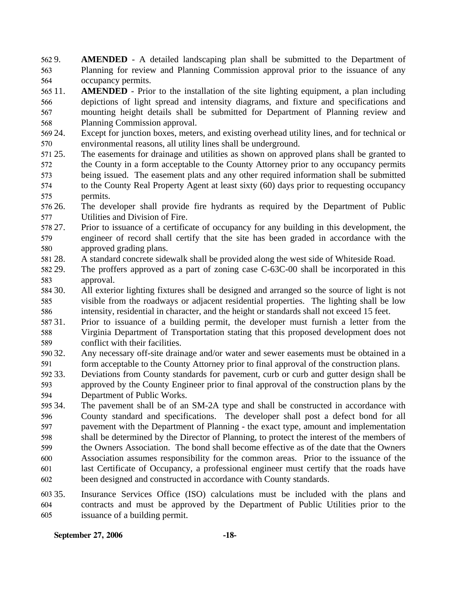562 9. 563 564 AMENDED - A detailed landscaping plan shall be submitted to the Department of Planning for review and Planning Commission approval prior to the issuance of any occupancy permits.

565 11. 566 567 568 **AMENDED** - Prior to the installation of the site lighting equipment, a plan including depictions of light spread and intensity diagrams, and fixture and specifications and mounting height details shall be submitted for Department of Planning review and Planning Commission approval.

569 24. 570 Except for junction boxes, meters, and existing overhead utility lines, and for technical or environmental reasons, all utility lines shall be underground.

571 25. 572 573 574 575 The easements for drainage and utilities as shown on approved plans shall be granted to the County in a form acceptable to the County Attorney prior to any occupancy permits being issued. The easement plats and any other required information shall be submitted to the County Real Property Agent at least sixty (60) days prior to requesting occupancy permits.

576 26. 577 The developer shall provide fire hydrants as required by the Department of Public Utilities and Division of Fire.

578 27. 579 580 27. Prior to issuance of a certificate of occupancy for any building in this development, the engineer of record shall certify that the site has been graded in accordance with the approved grading plans.

581 28. 28. A standard concrete sidewalk shall be provided along the west side of Whiteside Road.

582 29. 583 The proffers approved as a part of zoning case C-63C-00 shall be incorporated in this approval.

584 30. 585 586 30. All exterior lighting fixtures shall be designed and arranged so the source of light is not visible from the roadways or adjacent residential properties. The lighting shall be low intensity, residential in character, and the height or standards shall not exceed 15 feet.

587 31. 588 589 Prior to issuance of a building permit, the developer must furnish a letter from the Virginia Department of Transportation stating that this proposed development does not conflict with their facilities.

590 32. 591 Any necessary off-site drainage and/or water and sewer easements must be obtained in a form acceptable to the County Attorney prior to final approval of the construction plans.

592 33. 593 594 Deviations from County standards for pavement, curb or curb and gutter design shall be approved by the County Engineer prior to final approval of the construction plans by the Department of Public Works.

595 34. 596 597 598 599 600 601 602 The pavement shall be of an SM-2A type and shall be constructed in accordance with County standard and specifications. The developer shall post a defect bond for all pavement with the Department of Planning - the exact type, amount and implementation shall be determined by the Director of Planning, to protect the interest of the members of the Owners Association. The bond shall become effective as of the date that the Owners Association assumes responsibility for the common areas. Prior to the issuance of the last Certificate of Occupancy, a professional engineer must certify that the roads have been designed and constructed in accordance with County standards.

603 35. 604 605 Insurance Services Office (ISO) calculations must be included with the plans and contracts and must be approved by the Department of Public Utilities prior to the issuance of a building permit.

### **September 27, 2006 -18-**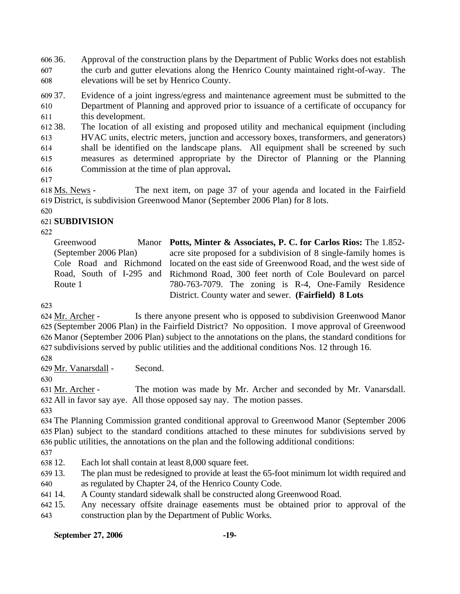606.36. 607 608 36. Approval of the construction plans by the Department of Public Works does not establish the curb and gutter elevations along the Henrico County maintained right-of-way. The elevations will be set by Henrico County.

609 37. 610 611 Evidence of a joint ingress/egress and maintenance agreement must be submitted to the Department of Planning and approved prior to issuance of a certificate of occupancy for this development.

612 38. 613 614 615 The location of all existing and proposed utility and mechanical equipment (including HVAC units, electric meters, junction and accessory boxes, transformers, and generators) shall be identified on the landscape plans. All equipment shall be screened by such measures as determined appropriate by the Director of Planning or the Planning

- 616 Commission at the time of plan approval**.**
- 617

The next item, on page 37 of your agenda and located in the Fairfield 619 District, is subdivision Greenwood Manor (September 2006 Plan) for 8 lots. 618 Ms. News -

620

## 621 **SUBDIVISION**

622

Greenwood (September 2006 Plan) Cole Road and Richmond Route 1

Road, South of I-295 and Richmond Road, 300 feet north of Cole Boulevard on parcel **Potts, Minter & Associates, P. C. for Carlos Rios:** The 1.852 acre site proposed for a subdivision of 8 single-family homes is located on the east side of Greenwood Road, and the west side of 780-763-7079. The zoning is R-4, One-Family Residence District. County water and sewer. **(Fairfield) 8 Lots** 

623

Is there anyone present who is opposed to subdivision Greenwood Manor 625 (September 2006 Plan) in the Fairfield District? No opposition. I move approval of Greenwood Manor (September 2006 Plan) subject to the annotations on the plans, the standard conditions for 626 627 subdivisions served by public utilities and the additional conditions Nos. 12 through 16. 624 Mr. Archer -

628

629 Mr. Vanarsdall - Second.

630

The motion was made by Mr. Archer and seconded by Mr. Vanarsdall. All in favor say aye. All those opposed say nay. The motion passes. 632 631 Mr. Archer -

633

634 The Planning Commission granted conditional approval to Greenwood Manor (September 2006 635 Plan) subject to the standard conditions attached to these minutes for subdivisions served by 636 public utilities, the annotations on the plan and the following additional conditions:

637

638 12. Each lot shall contain at least 8,000 square feet.

- 639 13. 640 The plan must be redesigned to provide at least the 65-foot minimum lot width required and as regulated by Chapter 24, of the Henrico County Code.
- 641 14. 14. A County standard sidewalk shall be constructed along Greenwood Road.
- 642 15. 643 Any necessary offsite drainage easements must be obtained prior to approval of the construction plan by the Department of Public Works.

### **September 27, 2006 -19-**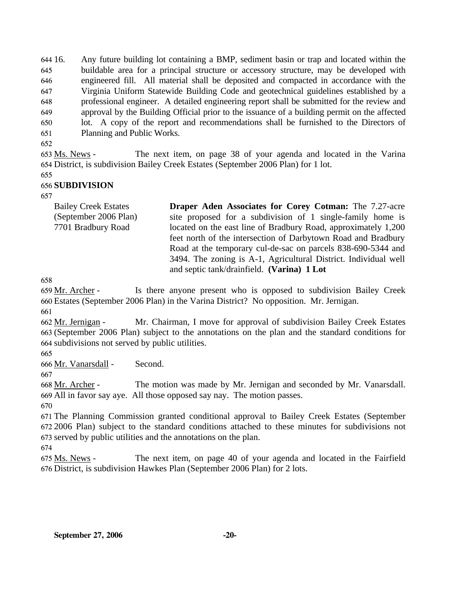644 16. 645 646 647 648 649 650 651 16. Any future building lot containing a BMP, sediment basin or trap and located within the buildable area for a principal structure or accessory structure, may be developed with engineered fill. All material shall be deposited and compacted in accordance with the Virginia Uniform Statewide Building Code and geotechnical guidelines established by a professional engineer. A detailed engineering report shall be submitted for the review and approval by the Building Official prior to the issuance of a building permit on the affected lot. A copy of the report and recommendations shall be furnished to the Directors of Planning and Public Works.

652

The next item, on page 38 of your agenda and located in the Varina District, is subdivision Bailey Creek Estates (September 2006 Plan) for 1 lot. 654 653 Ms. News -

655

## 656 **SUBDIVISION**

657

| <b>Bailey Creek Estates</b> | <b>Draper Aden Associates for Corey Cotman:</b> The 7.27-acre   |
|-----------------------------|-----------------------------------------------------------------|
| (September 2006 Plan)       | site proposed for a subdivision of 1 single-family home is      |
| 7701 Bradbury Road          | located on the east line of Bradbury Road, approximately 1,200  |
|                             | feet north of the intersection of Darbytown Road and Bradbury   |
|                             | Road at the temporary cul-de-sac on parcels 838-690-5344 and    |
|                             | 3494. The zoning is A-1, Agricultural District. Individual well |
|                             | and septic tank/drainfield. (Varina) 1 Lot                      |

658

Is there anyone present who is opposed to subdivision Bailey Creek Estates (September 2006 Plan) in the Varina District? No opposition. Mr. Jernigan. 660 659 Mr. Archer -

661

Mr. Chairman, I move for approval of subdivision Bailey Creek Estates (September 2006 Plan) subject to the annotations on the plan and the standard conditions for 663 subdivisions not served by public utilities. 664 662 Mr. Jernigan -

665

666 Mr. Vanarsdall - Second.

667

The motion was made by Mr. Jernigan and seconded by Mr. Vanarsdall. All in favor say aye. All those opposed say nay. The motion passes. 669 668 Mr. Archer -

670

671 The Planning Commission granted conditional approval to Bailey Creek Estates (September 672 2006 Plan) subject to the standard conditions attached to these minutes for subdivisions not 673 served by public utilities and the annotations on the plan.

674

The next item, on page 40 of your agenda and located in the Fairfield 676 District, is subdivision Hawkes Plan (September 2006 Plan) for 2 lots. 675 Ms. News -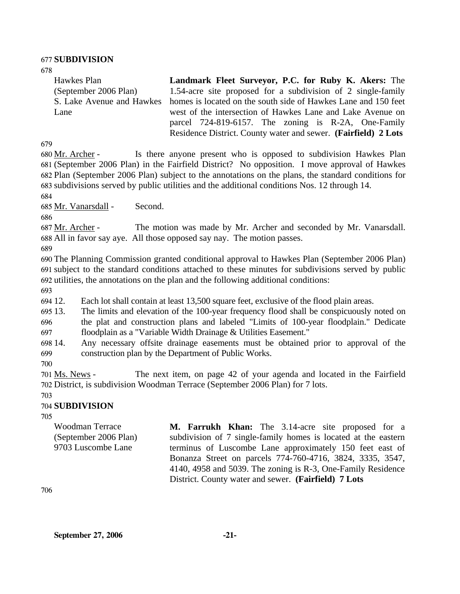#### 677 **SUBDIVISION**

| 678                       |                                                                |
|---------------------------|----------------------------------------------------------------|
| Hawkes Plan               | Landmark Fleet Surveyor, P.C. for Ruby K. Akers: The           |
| (September 2006 Plan)     | 1.54-acre site proposed for a subdivision of 2 single-family   |
| S. Lake Avenue and Hawkes | homes is located on the south side of Hawkes Lane and 150 feet |
| Lane                      | west of the intersection of Hawkes Lane and Lake Avenue on     |
|                           | parcel 724-819-6157. The zoning is R-2A, One-Family            |
|                           | Residence District. County water and sewer. (Fairfield) 2 Lots |

679

Is there anyone present who is opposed to subdivision Hawkes Plan (September 2006 Plan) in the Fairfield District? No opposition. I move approval of Hawkes 681 Plan (September 2006 Plan) subject to the annotations on the plans, the standard conditions for 682 subdivisions served by public utilities and the additional conditions Nos. 12 through 14. 683 680 Mr. Archer -

684

685 Mr. Vanarsdall - Second.

686

The motion was made by Mr. Archer and seconded by Mr. Vanarsdall. All in favor say aye. All those opposed say nay. The motion passes. 688 687 Mr. Archer -

689

690 The Planning Commission granted conditional approval to Hawkes Plan (September 2006 Plan) 691 subject to the standard conditions attached to these minutes for subdivisions served by public 692 utilities, the annotations on the plan and the following additional conditions:

693

694 12. Each lot shall contain at least 13,500 square feet, exclusive of the flood plain areas.

695 13. 696 13. The limits and elevation of the 100-year frequency flood shall be conspicuously noted on the plat and construction plans and labeled "Limits of 100-year floodplain." Dedicate

697 floodplain as a "Variable Width Drainage & Utilities Easement."

698 14. 699 Any necessary offsite drainage easements must be obtained prior to approval of the construction plan by the Department of Public Works.

700

The next item, on page 42 of your agenda and located in the Fairfield 702 District, is subdivision Woodman Terrace (September 2006 Plan) for 7 lots. 701 Ms. News -

#### 703 704 **SUBDIVISION**

705

Woodman Terrace (September 2006 Plan) 9703 Luscombe Lane

**M. Farrukh Khan:** The 3.14-acre site proposed for a subdivision of 7 single-family homes is located at the eastern terminus of Luscombe Lane approximately 150 feet east of Bonanza Street on parcels 774-760-4716, 3824, 3335, 3547, 4140, 4958 and 5039. The zoning is R-3, One-Family Residence District. County water and sewer. **(Fairfield) 7 Lots** 

706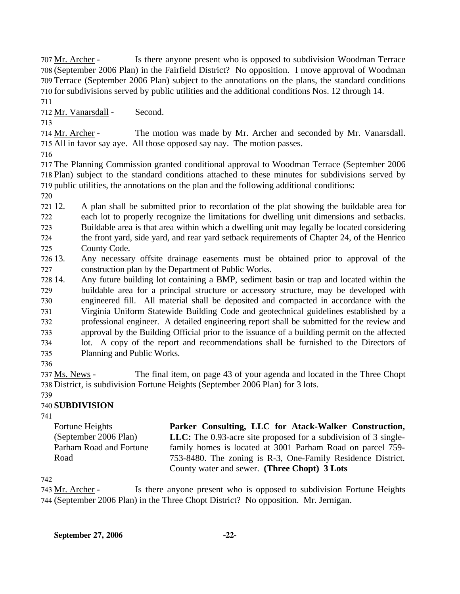Is there anyone present who is opposed to subdivision Woodman Terrace (September 2006 Plan) in the Fairfield District? No opposition. I move approval of Woodman 708 709 Terrace (September 2006 Plan) subject to the annotations on the plans, the standard conditions 710 for subdivisions served by public utilities and the additional conditions Nos. 12 through 14. 707 Mr. Archer -

711

712 Mr. Vanarsdall - Second.

713

The motion was made by Mr. Archer and seconded by Mr. Vanarsdall. 715 All in favor say aye. All those opposed say nay. The motion passes. 714 Mr. Archer -

716

717 The Planning Commission granted conditional approval to Woodman Terrace (September 2006 718 Plan) subject to the standard conditions attached to these minutes for subdivisions served by 719 public utilities, the annotations on the plan and the following additional conditions:

720

721 12. 722 723 724 725 12. A plan shall be submitted prior to recordation of the plat showing the buildable area for each lot to properly recognize the limitations for dwelling unit dimensions and setbacks. Buildable area is that area within which a dwelling unit may legally be located considering the front yard, side yard, and rear yard setback requirements of Chapter 24, of the Henrico County Code.

726 13. 727 13. Any necessary offsite drainage easements must be obtained prior to approval of the construction plan by the Department of Public Works.

728 14 729 730 731 732 733 734 735 Any future building lot containing a BMP, sediment basin or trap and located within the buildable area for a principal structure or accessory structure, may be developed with engineered fill. All material shall be deposited and compacted in accordance with the Virginia Uniform Statewide Building Code and geotechnical guidelines established by a professional engineer. A detailed engineering report shall be submitted for the review and approval by the Building Official prior to the issuance of a building permit on the affected lot. A copy of the report and recommendations shall be furnished to the Directors of Planning and Public Works.

736

The final item, on page 43 of your agenda and located in the Three Chopt 738 District, is subdivision Fortune Heights (September 2006 Plan) for 3 lots. 737 Ms. News -

#### 739 740 **SUBDIVISION**

741

Fortune Heights (September 2006 Plan) Parham Road and Fortune Road **Parker Consulting, LLC for Atack-Walker Construction, LLC:** The 0.93-acre site proposed for a subdivision of 3 singlefamily homes is located at 3001 Parham Road on parcel 759- 753-8480. The zoning is R-3, One-Family Residence District. County water and sewer. **(Three Chopt) 3 Lots** 

742

Is there anyone present who is opposed to subdivision Fortune Heights (September 2006 Plan) in the Three Chopt District? No opposition. Mr. Jernigan. 744 743 Mr. Archer -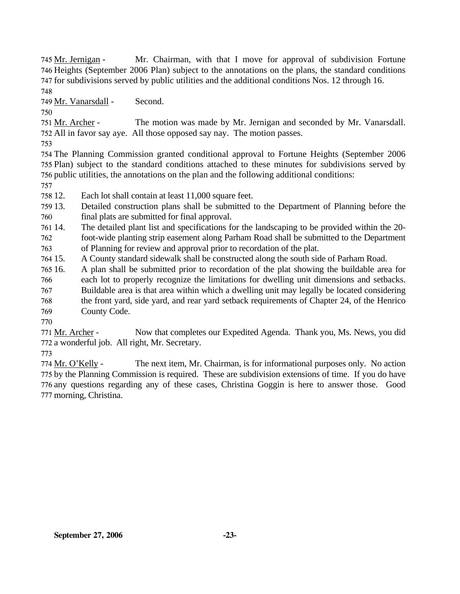Mr. Chairman, with that I move for approval of subdivision Fortune 746 Heights (September 2006 Plan) subject to the annotations on the plans, the standard conditions 747 for subdivisions served by public utilities and the additional conditions Nos. 12 through 16. 745 Mr. Jernigan -748

749 Mr. Vanarsdall - Second.

750

The motion was made by Mr. Jernigan and seconded by Mr. Vanarsdall. All in favor say aye. All those opposed say nay. The motion passes. 752 751 Mr. Archer -

753

754 The Planning Commission granted conditional approval to Fortune Heights (September 2006 755 Plan) subject to the standard conditions attached to these minutes for subdivisions served by 756 public utilities, the annotations on the plan and the following additional conditions:

757

758 12. Each lot shall contain at least 11,000 square feet.

759 13. 760 Detailed construction plans shall be submitted to the Department of Planning before the final plats are submitted for final approval.

761 14. 762 763 The detailed plant list and specifications for the landscaping to be provided within the 20foot-wide planting strip easement along Parham Road shall be submitted to the Department of Planning for review and approval prior to recordation of the plat.

764 15. 15. A County standard sidewalk shall be constructed along the south side of Parham Road.

765 16. 16. A plan shall be submitted prior to recordation of the plat showing the buildable area for

766 each lot to properly recognize the limitations for dwelling unit dimensions and setbacks.

767 Buildable area is that area within which a dwelling unit may legally be located considering

768 the front yard, side yard, and rear yard setback requirements of Chapter 24, of the Henrico

769 County Code.

770

Now that completes our Expedited Agenda. Thank you, Ms. News, you did 772 a wonderful job. All right, Mr. Secretary. 771 Mr. Archer -

773

The next item, Mr. Chairman, is for informational purposes only. No action 775 by the Planning Commission is required. These are subdivision extensions of time. If you do have 776 any questions regarding any of these cases, Christina Goggin is here to answer those. Good 777 morning, Christina. 774 Mr. O'Kelly -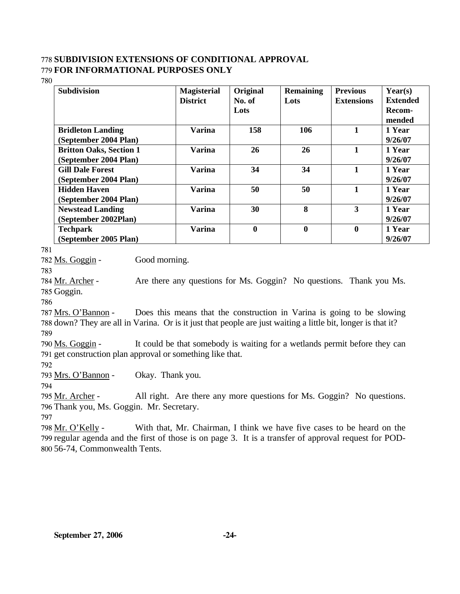### 778 **SUBDIVISION EXTENSIONS OF CONDITIONAL APPROVAL**  779 **FOR INFORMATIONAL PURPOSES ONLY**

780

| <b>Subdivision</b>             | <b>Magisterial</b><br><b>District</b> | Original<br>No. of | <b>Remaining</b><br>Lots | <b>Previous</b><br><b>Extensions</b> | Year(s)<br><b>Extended</b> |
|--------------------------------|---------------------------------------|--------------------|--------------------------|--------------------------------------|----------------------------|
|                                |                                       | Lots               |                          |                                      | Recom-<br>mended           |
| <b>Bridleton Landing</b>       | Varina                                | 158                | 106                      | 1                                    | 1 Year                     |
| (September 2004 Plan)          |                                       |                    |                          |                                      | 9/26/07                    |
| <b>Britton Oaks, Section 1</b> | <b>Varina</b>                         | 26                 | 26                       |                                      | 1 Year                     |
| (September 2004 Plan)          |                                       |                    |                          |                                      | 9/26/07                    |
| <b>Gill Dale Forest</b>        | <b>Varina</b>                         | 34                 | 34                       | 1                                    | 1 Year                     |
| (September 2004 Plan)          |                                       |                    |                          |                                      | 9/26/07                    |
| <b>Hidden Haven</b>            | <b>Varina</b>                         | 50                 | 50                       | 1                                    | 1 Year                     |
| (September 2004 Plan)          |                                       |                    |                          |                                      | 9/26/07                    |
| <b>Newstead Landing</b>        | <b>Varina</b>                         | 30                 | 8                        | 3                                    | 1 Year                     |
| (September 2002Plan)           |                                       |                    |                          |                                      | 9/26/07                    |
| <b>Techpark</b>                | <b>Varina</b>                         | $\mathbf{0}$       | $\bf{0}$                 | $\boldsymbol{0}$                     | 1 Year                     |
| (September 2005 Plan)          |                                       |                    |                          |                                      | 9/26/07                    |

781

782 Ms. Goggin - Good morning.

783

Are there any questions for Ms. Goggin? No questions. Thank you Ms. 785 Goggin. 784 Mr. Archer -

786

Does this means that the construction in Varina is going to be slowing 788 down? They are all in Varina. Or is it just that people are just waiting a little bit, longer is that it? 787 Mrs. O'Bannon -789

It could be that somebody is waiting for a wetlands permit before they can 791 get construction plan approval or something like that. 790 Ms. Goggin -

792

793 Mrs. O'Bannon - Okay. Thank you.

794

All right. Are there any more questions for Ms. Goggin? No questions. 796 Thank you, Ms. Goggin. Mr. Secretary. 795 Mr. Archer -

797

With that, Mr. Chairman, I think we have five cases to be heard on the 799 regular agenda and the first of those is on page 3. It is a transfer of approval request for POD-56-74, Commonwealth Tents. 800 798 Mr. O'Kelly -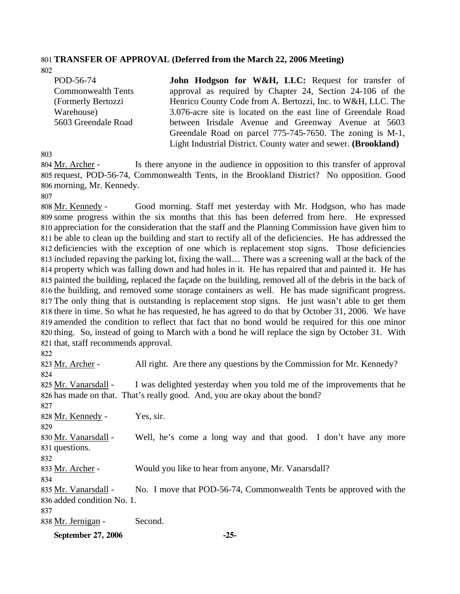#### 801 **TRANSFER OF APPROVAL (Deferred from the March 22, 2006 Meeting)**  802

| POD-56-74                 | John Hodgson for W&H, LLC: Request for transfer of                      |
|---------------------------|-------------------------------------------------------------------------|
| <b>Commonwealth Tents</b> | approval as required by Chapter 24, Section 24-106 of the               |
| (Formerly Bertozzi        | Henrico County Code from A. Bertozzi, Inc. to W&H, LLC. The             |
| Warehouse)                | 3.076-acre site is located on the east line of Greendale Road           |
| 5603 Greendale Road       | between Irisdale Avenue and Greenway Avenue at 5603                     |
|                           | Greendale Road on parcel 775-745-7650. The zoning is M-1,               |
|                           | Light Industrial District. County water and sewer. ( <b>Brookland</b> ) |

803

Is there anyone in the audience in opposition to this transfer of approval 805 request, POD-56-74, Commonwealth Tents, in the Brookland District? No opposition. Good 806 morning, Mr. Kennedy. 804 Mr. Archer -

807

Good morning. Staff met yesterday with Mr. Hodgson, who has made some progress within the six months that this has been deferred from here. He expressed 809 810 appreciation for the consideration that the staff and the Planning Commission have given him to 811 be able to clean up the building and start to rectify all of the deficiencies. He has addressed the 812 deficiencies with the exception of one which is replacement stop signs. Those deficiencies 813 included repaving the parking lot, fixing the wall... There was a screening wall at the back of the 814 property which was falling down and had holes in it. He has repaired that and painted it. He has 815 painted the building, replaced the façade on the building, removed all of the debris in the back of 816 the building, and removed some storage containers as well. He has made significant progress. 817 The only thing that is outstanding is replacement stop signs. He just wasn't able to get them 818 there in time. So what he has requested, he has agreed to do that by October 31, 2006. We have 819 amended the condition to reflect that fact that no bond would be required for this one minor 820 thing. So, instead of going to March with a bond he will replace the sign by October 31. With 821 that, staff recommends approval. 808 Mr. Kennedy -

822

| September 27, 2006         | $-25-$                                                                      |
|----------------------------|-----------------------------------------------------------------------------|
| 838 Mr. Jernigan -         | Second.                                                                     |
| 837                        |                                                                             |
| 836 added condition No. 1. |                                                                             |
| 835 Mr. Vanarsdall -       | No. I move that POD-56-74, Commonwealth Tents be approved with the          |
| 834                        |                                                                             |
| 833 Mr. Archer -           | Would you like to hear from anyone, Mr. Vanarsdall?                         |
| 832                        |                                                                             |
| 831 questions.             |                                                                             |
| 830 Mr. Vanarsdall -       | Well, he's come a long way and that good. I don't have any more             |
| 829                        |                                                                             |
| 828 Mr. Kennedy -          | Yes, sir.                                                                   |
| 827                        |                                                                             |
|                            | 826 has made on that. That's really good. And, you are okay about the bond? |
| 825 Mr. Vanarsdall -       | I was delighted yesterday when you told me of the improvements that he      |
| 824                        |                                                                             |
| 823 Mr. Archer -           | All right. Are there any questions by the Commission for Mr. Kennedy?       |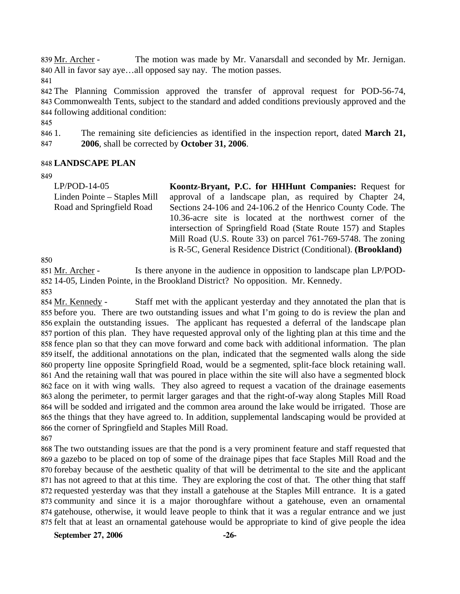The motion was made by Mr. Vanarsdall and seconded by Mr. Jernigan. All in favor say aye…all opposed say nay. The motion passes. 840 839 Mr. Archer -

841

842 The Planning Commission approved the transfer of approval request for POD-56-74, 843 Commonwealth Tents, subject to the standard and added conditions previously approved and the 844 following additional condition:

845

846 1. 1. The remaining site deficiencies as identified in the inspection report, dated **March 21,** 

847 **2006**, shall be corrected by **October 31, 2006**.

### 848 **LANDSCAPE PLAN**

849

LP/POD-14-05 Linden Pointe – Staples Mill Road and Springfield Road **Koontz-Bryant, P.C. for HHHunt Companies:** Request for approval of a landscape plan, as required by Chapter 24, Sections 24-106 and 24-106.2 of the Henrico County Code. The 10.36-acre site is located at the northwest corner of the intersection of Springfield Road (State Route 157) and Staples Mill Road (U.S. Route 33) on parcel 761-769-5748. The zoning is R-5C, General Residence District (Conditional). **(Brookland)** 

850

Is there anyone in the audience in opposition to landscape plan LP/POD-14-05, Linden Pointe, in the Brookland District? No opposition. Mr. Kennedy. 852 851 Mr. Archer -

853

Staff met with the applicant yesterday and they annotated the plan that is 855 before you. There are two outstanding issues and what I'm going to do is review the plan and 856 explain the outstanding issues. The applicant has requested a deferral of the landscape plan 857 portion of this plan. They have requested approval only of the lighting plan at this time and the 858 fence plan so that they can move forward and come back with additional information. The plan 859 itself, the additional annotations on the plan, indicated that the segmented walls along the side 860 property line opposite Springfield Road, would be a segmented, split-face block retaining wall. 861 And the retaining wall that was poured in place within the site will also have a segmented block 862 face on it with wing walls. They also agreed to request a vacation of the drainage easements 863 along the perimeter, to permit larger garages and that the right-of-way along Staples Mill Road 864 will be sodded and irrigated and the common area around the lake would be irrigated. Those are 865 the things that they have agreed to. In addition, supplemental landscaping would be provided at 866 the corner of Springfield and Staples Mill Road. 854 Mr. Kennedy -

867

 The two outstanding issues are that the pond is a very prominent feature and staff requested that a gazebo to be placed on top of some of the drainage pipes that face Staples Mill Road and the forebay because of the aesthetic quality of that will be detrimental to the site and the applicant has not agreed to that at this time. They are exploring the cost of that. The other thing that staff requested yesterday was that they install a gatehouse at the Staples Mill entrance. It is a gated community and since it is a major thoroughfare without a gatehouse, even an ornamental gatehouse, otherwise, it would leave people to think that it was a regular entrance and we just felt that at least an ornamental gatehouse would be appropriate to kind of give people the idea

**September 27, 2006 -26-**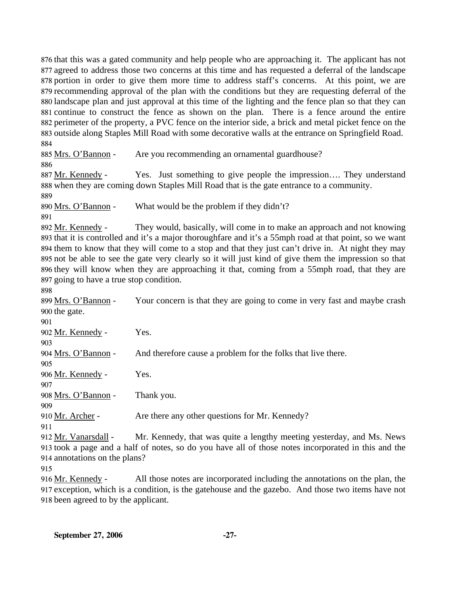that this was a gated community and help people who are approaching it. The applicant has not agreed to address those two concerns at this time and has requested a deferral of the landscape portion in order to give them more time to address staff's concerns. At this point, we are recommending approval of the plan with the conditions but they are requesting deferral of the landscape plan and just approval at this time of the lighting and the fence plan so that they can continue to construct the fence as shown on the plan. There is a fence around the entire perimeter of the property, a PVC fence on the interior side, a brick and metal picket fence on the outside along Staples Mill Road with some decorative walls at the entrance on Springfield Road. 884

885 Mrs. O'Bannon - Are you recommending an ornamental guardhouse? 886

Yes. Just something to give people the impression.... They understand 888 when they are coming down Staples Mill Road that is the gate entrance to a community. 887 Mr. Kennedy -

889

890 Mrs. O'Bannon - What would be the problem if they didn't?

891

They would, basically, will come in to make an approach and not knowing 893 that it is controlled and it's a major thoroughfare and it's a 55mph road at that point, so we want 894 them to know that they will come to a stop and that they just can't drive in. At night they may not be able to see the gate very clearly so it will just kind of give them the impression so that 895 896 they will know when they are approaching it that, coming from a 55mph road, that they are 897 going to have a true stop condition. 892 Mr. Kennedy -

898

Your concern is that they are going to come in very fast and maybe crash 900 the gate. 899 Mrs. O'Bannon - $0<sub>0</sub>1$ 

| 90 L                 |                                                                                                     |
|----------------------|-----------------------------------------------------------------------------------------------------|
| 902 Mr. Kennedy -    | Yes.                                                                                                |
| 903                  |                                                                                                     |
| 904 Mrs. O'Bannon -  | And therefore cause a problem for the folks that live there.                                        |
| 905                  |                                                                                                     |
| 906 Mr. Kennedy -    | Yes.                                                                                                |
| 907                  |                                                                                                     |
| 908 Mrs. O'Bannon -  | Thank you.                                                                                          |
| 909                  |                                                                                                     |
| 910 Mr. Archer -     | Are there any other questions for Mr. Kennedy?                                                      |
| 911                  |                                                                                                     |
| 912 Mr. Vanarsdall - | Mr. Kennedy, that was quite a lengthy meeting yesterday, and Ms. News                               |
|                      | 913 took a page and a half of notes, so do you have all of those notes incorporated in this and the |

914 annotations on the plans?

915

All those notes are incorporated including the annotations on the plan, the 917 exception, which is a condition, is the gatehouse and the gazebo. And those two items have not 918 been agreed to by the applicant. 916 Mr. Kennedy -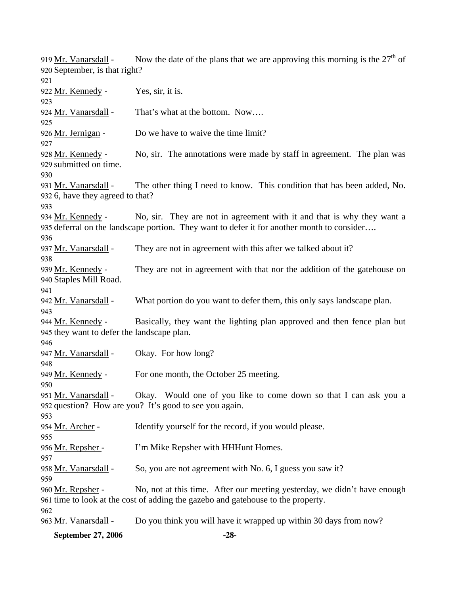Now the date of the plans that we are approving this morning is the  $27<sup>th</sup>$  of 920 September, is that right? 919 Mr. Vanarsdall -921 922 Mr. Kennedy - Yes, sir, it is. 923 924 Mr. Vanarsdall - That's what at the bottom. Now.... 925 926 Mr. Jernigan - Do we have to waive the time limit? 927 No, sir. The annotations were made by staff in agreement. The plan was 929 submitted on time. 928 Mr. Kennedy -930 The other thing I need to know. This condition that has been added, No. 932 6, have they agreed to that? 931 Mr. Vanarsdall -933 No, sir. They are not in agreement with it and that is why they want a 935 deferral on the landscape portion. They want to defer it for another month to consider.... 934 Mr. Kennedy -936 937 Mr. Vanarsdall - They are not in agreement with this after we talked about it? 938 They are not in agreement with that nor the addition of the gatehouse on 940 Staples Mill Road. 939 Mr. Kennedy -941 942 Mr. Vanarsdall - What portion do you want to defer them, this only says landscape plan. 943 Basically, they want the lighting plan approved and then fence plan but 945 they want to defer the landscape plan. 944 Mr. Kennedy -946 947 Mr. Vanarsdall - Okay. For how long? 948 949 Mr. Kennedy - For one month, the October 25 meeting. 950 Okay. Would one of you like to come down so that I can ask you a 952 question? How are you? It's good to see you again. 951 Mr. Vanarsdall -953 954 Mr. Archer - Identify yourself for the record, if you would please. 955 956 Mr. Repsher - I'm Mike Repsher with HHHunt Homes. 957 958 Mr. Vanarsdall - So, you are not agreement with No. 6, I guess you saw it? 959 No, not at this time. After our meeting yesterday, we didn't have enough 961 time to look at the cost of adding the gazebo and gatehouse to the property. 960 Mr. Repsher -962 963 Mr. Vanarsdall - Do you think you will have it wrapped up within 30 days from now?

**September 27, 2006 -28-**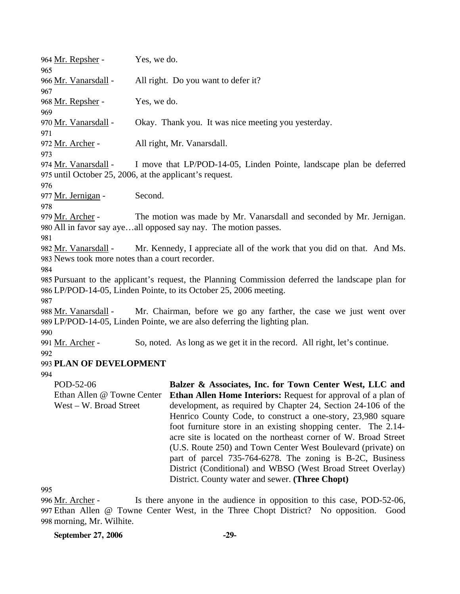| 964 Mr. Repsher -<br>965                                                                                                                                                     | Yes, we do. |                                                                                                                                                                                                                                                                                                                                                                                                                                                                                                                                                                                                                                               |
|------------------------------------------------------------------------------------------------------------------------------------------------------------------------------|-------------|-----------------------------------------------------------------------------------------------------------------------------------------------------------------------------------------------------------------------------------------------------------------------------------------------------------------------------------------------------------------------------------------------------------------------------------------------------------------------------------------------------------------------------------------------------------------------------------------------------------------------------------------------|
| 966 Mr. Vanarsdall -<br>967                                                                                                                                                  |             | All right. Do you want to defer it?                                                                                                                                                                                                                                                                                                                                                                                                                                                                                                                                                                                                           |
| 968 Mr. Repsher -<br>969                                                                                                                                                     | Yes, we do. |                                                                                                                                                                                                                                                                                                                                                                                                                                                                                                                                                                                                                                               |
| 970 Mr. Vanarsdall -<br>971                                                                                                                                                  |             | Okay. Thank you. It was nice meeting you yesterday.                                                                                                                                                                                                                                                                                                                                                                                                                                                                                                                                                                                           |
| 972 Mr. Archer -<br>973                                                                                                                                                      |             | All right, Mr. Vanarsdall.                                                                                                                                                                                                                                                                                                                                                                                                                                                                                                                                                                                                                    |
| 974 Mr. Vanarsdall -<br>975 until October 25, 2006, at the applicant's request.<br>976                                                                                       |             | I move that LP/POD-14-05, Linden Pointe, landscape plan be deferred                                                                                                                                                                                                                                                                                                                                                                                                                                                                                                                                                                           |
| 977 Mr. Jernigan -<br>978                                                                                                                                                    | Second.     |                                                                                                                                                                                                                                                                                                                                                                                                                                                                                                                                                                                                                                               |
| 979 Mr. Archer -<br>981                                                                                                                                                      |             | The motion was made by Mr. Vanarsdall and seconded by Mr. Jernigan.<br>980 All in favor say ayeall opposed say nay. The motion passes.                                                                                                                                                                                                                                                                                                                                                                                                                                                                                                        |
| Mr. Kennedy, I appreciate all of the work that you did on that. And Ms.<br>982 Mr. Vanarsdall -<br>983 News took more notes than a court recorder.<br>984                    |             |                                                                                                                                                                                                                                                                                                                                                                                                                                                                                                                                                                                                                                               |
| 985 Pursuant to the applicant's request, the Planning Commission deferred the landscape plan for<br>986 LP/POD-14-05, Linden Pointe, to its October 25, 2006 meeting.<br>987 |             |                                                                                                                                                                                                                                                                                                                                                                                                                                                                                                                                                                                                                                               |
| 988 Mr. Vanarsdall -                                                                                                                                                         |             | Mr. Chairman, before we go any farther, the case we just went over<br>989 LP/POD-14-05, Linden Pointe, we are also deferring the lighting plan.                                                                                                                                                                                                                                                                                                                                                                                                                                                                                               |
| 990<br>991 Mr. Archer -<br>992                                                                                                                                               |             | So, noted. As long as we get it in the record. All right, let's continue.                                                                                                                                                                                                                                                                                                                                                                                                                                                                                                                                                                     |
| 993 PLAN OF DEVELOPMENT                                                                                                                                                      |             |                                                                                                                                                                                                                                                                                                                                                                                                                                                                                                                                                                                                                                               |
| 994                                                                                                                                                                          |             |                                                                                                                                                                                                                                                                                                                                                                                                                                                                                                                                                                                                                                               |
| POD-52-06<br>Ethan Allen @ Towne Center<br>West – W. Broad Street                                                                                                            |             | Balzer & Associates, Inc. for Town Center West, LLC and<br>Ethan Allen Home Interiors: Request for approval of a plan of<br>development, as required by Chapter 24, Section 24-106 of the<br>Henrico County Code, to construct a one-story, 23,980 square<br>foot furniture store in an existing shopping center. The 2.14-<br>acre site is located on the northeast corner of W. Broad Street<br>(U.S. Route 250) and Town Center West Boulevard (private) on<br>part of parcel 735-764-6278. The zoning is B-2C, Business<br>District (Conditional) and WBSO (West Broad Street Overlay)<br>District. County water and sewer. (Three Chopt) |
| 995                                                                                                                                                                          |             |                                                                                                                                                                                                                                                                                                                                                                                                                                                                                                                                                                                                                                               |

Is there anyone in the audience in opposition to this case, POD-52-06, Ethan Allen @ Towne Center West, in the Three Chopt District? No opposition. Good 997 998 morning, Mr. Wilhite. 996 Mr. Archer -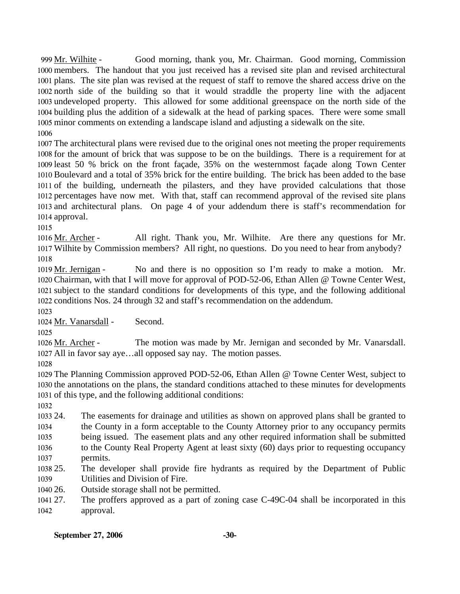Good morning, thank you, Mr. Chairman. Good morning, Commission 1000 members. The handout that you just received has a revised site plan and revised architectural 1001 plans. The site plan was revised at the request of staff to remove the shared access drive on the north side of the building so that it would straddle the property line with the adjacent 1002 1003 undeveloped property. This allowed for some additional greenspace on the north side of the 1004 building plus the addition of a sidewalk at the head of parking spaces. There were some small 1005 minor comments on extending a landscape island and adjusting a sidewalk on the site. 999 Mr. Wilhite -1006

 The architectural plans were revised due to the original ones not meeting the proper requirements for the amount of brick that was suppose to be on the buildings. There is a requirement for at least 50 % brick on the front façade, 35% on the westernmost façade along Town Center Boulevard and a total of 35% brick for the entire building. The brick has been added to the base of the building, underneath the pilasters, and they have provided calculations that those percentages have now met. With that, staff can recommend approval of the revised site plans and architectural plans. On page 4 of your addendum there is staff's recommendation for approval.

1015

All right. Thank you, Mr. Wilhite. Are there any questions for Mr. Wilhite by Commission members? All right, no questions. Do you need to hear from anybody? 1017 1016 Mr. Archer -1018

No and there is no opposition so I'm ready to make a motion. Mr. 1020 Chairman, with that I will move for approval of POD-52-06, Ethan Allen @ Towne Center West, 1021 subject to the standard conditions for developments of this type, and the following additional 1022 conditions Nos. 24 through 32 and staff's recommendation on the addendum. 1019 Mr. Jernigan -

1023

1024 Mr. Vanarsdall - Second.

1025

The motion was made by Mr. Jernigan and seconded by Mr. Vanarsdall. 1027 All in favor say aye...all opposed say nay. The motion passes. 1026 Mr. Archer -

1028

1029 The Planning Commission approved POD-52-06, Ethan Allen @ Towne Center West, subject to 1030 the annotations on the plans, the standard conditions attached to these minutes for developments 1031 of this type, and the following additional conditions:

1032

1033 24. 1034 1035 1036 1037 The easements for drainage and utilities as shown on approved plans shall be granted to the County in a form acceptable to the County Attorney prior to any occupancy permits being issued. The easement plats and any other required information shall be submitted to the County Real Property Agent at least sixty (60) days prior to requesting occupancy permits.

1038 25. 1039 25. The developer shall provide fire hydrants as required by the Department of Public Utilities and Division of Fire.

1040 26 Outside storage shall not be permitted.

1041 27. 1042 The proffers approved as a part of zoning case C-49C-04 shall be incorporated in this approval.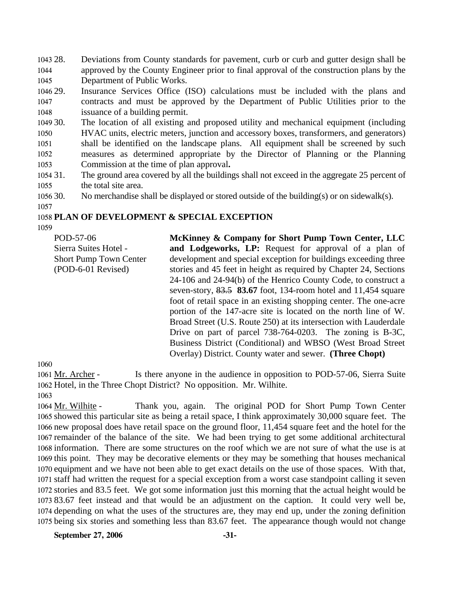1043 28. 1044 1045 Deviations from County standards for pavement, curb or curb and gutter design shall be approved by the County Engineer prior to final approval of the construction plans by the Department of Public Works.

1046 29. 1047 1048 Insurance Services Office (ISO) calculations must be included with the plans and contracts and must be approved by the Department of Public Utilities prior to the issuance of a building permit.

1049 30. 1050 1051 1052 1053 The location of all existing and proposed utility and mechanical equipment (including HVAC units, electric meters, junction and accessory boxes, transformers, and generators) shall be identified on the landscape plans. All equipment shall be screened by such measures as determined appropriate by the Director of Planning or the Planning Commission at the time of plan approval**.**

- 1054 31. 1055 The ground area covered by all the buildings shall not exceed in the aggregate 25 percent of the total site area.
- 1056 30. No merchandise shall be displayed or stored outside of the building(s) or on sidewalk(s).
- 1057

# 1058 **PLAN OF DEVELOPMENT & SPECIAL EXCEPTION**

1059

POD-57-06 Sierra Suites Hotel - Short Pump Town Center (POD-6-01 Revised)

**McKinney & Company for Short Pump Town Center, LLC and Lodgeworks, LP:** Request for approval of a plan of development and special exception for buildings exceeding three stories and 45 feet in height as required by Chapter 24, Sections 24-106 and 24-94(b) of the Henrico County Code, to construct a seven-story, 83.5 **83.67** foot, 134-room hotel and 11,454 square foot of retail space in an existing shopping center. The one-acre portion of the 147-acre site is located on the north line of W. Broad Street (U.S. Route 250) at its intersection with Lauderdale Drive on part of parcel 738-764-0203. The zoning is B-3C, Business District (Conditional) and WBSO (West Broad Street Overlay) District. County water and sewer. **(Three Chopt)** 

1060

Is there anyone in the audience in opposition to POD-57-06, Sierra Suite 1062 Hotel, in the Three Chopt District? No opposition. Mr. Wilhite. 1061 Mr. Archer -

1063

Thank you, again. The original POD for Short Pump Town Center 1065 showed this particular site as being a retail space, I think approximately 30,000 square feet. The 1066 new proposal does have retail space on the ground floor, 11,454 square feet and the hotel for the 1067 remainder of the balance of the site. We had been trying to get some additional architectural 1068 information. There are some structures on the roof which we are not sure of what the use is at 1069 this point. They may be decorative elements or they may be something that houses mechanical 1070 equipment and we have not been able to get exact details on the use of those spaces. With that, 1071 staff had written the request for a special exception from a worst case standpoint calling it seven 1072 stories and 83.5 feet. We got some information just this morning that the actual height would be 83.67 feet instead and that would be an adjustment on the caption. It could very well be, 1073 1074 depending on what the uses of the structures are, they may end up, under the zoning definition 1075 being six stories and something less than 83.67 feet. The appearance though would not change 1064 Mr. Wilhite -

**September 27, 2006** -31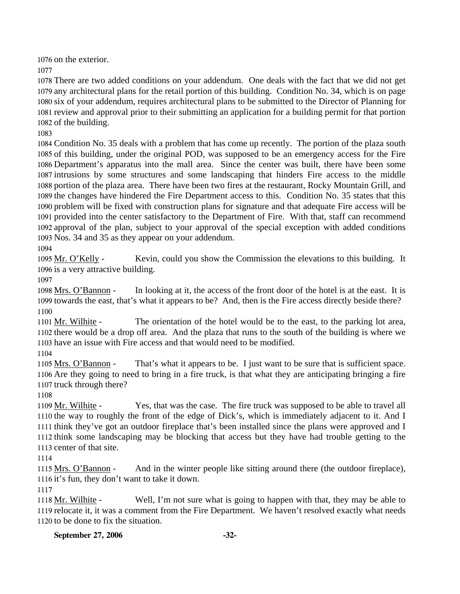1076 on the exterior.

1077

 There are two added conditions on your addendum. One deals with the fact that we did not get any architectural plans for the retail portion of this building. Condition No. 34, which is on page six of your addendum, requires architectural plans to be submitted to the Director of Planning for review and approval prior to their submitting an application for a building permit for that portion of the building.

1083

 Condition No. 35 deals with a problem that has come up recently. The portion of the plaza south of this building, under the original POD, was supposed to be an emergency access for the Fire Department's apparatus into the mall area. Since the center was built, there have been some intrusions by some structures and some landscaping that hinders Fire access to the middle portion of the plaza area. There have been two fires at the restaurant, Rocky Mountain Grill, and the changes have hindered the Fire Department access to this. Condition No. 35 states that this problem will be fixed with construction plans for signature and that adequate Fire access will be provided into the center satisfactory to the Department of Fire. With that, staff can recommend approval of the plan, subject to your approval of the special exception with added conditions Nos. 34 and 35 as they appear on your addendum.

1094

Kevin, could you show the Commission the elevations to this building. It 1096 is a very attractive building. 1095 Mr. O'Kelly -

1097

In looking at it, the access of the front door of the hotel is at the east. It is 1099 towards the east, that's what it appears to be? And, then is the Fire access directly beside there? 1098 Mrs. O'Bannon -1100

The orientation of the hotel would be to the east, to the parking lot area, 1102 there would be a drop off area. And the plaza that runs to the south of the building is where we 1103 have an issue with Fire access and that would need to be modified. 1101 Mr. Wilhite -

1104

That's what it appears to be. I just want to be sure that is sufficient space. 1106 Are they going to need to bring in a fire truck, is that what they are anticipating bringing a fire 1107 truck through there? 1105 Mrs. O'Bannon -

1108

Yes, that was the case. The fire truck was supposed to be able to travel all 1110 the way to roughly the front of the edge of Dick's, which is immediately adjacent to it. And I 1111 think they've got an outdoor fireplace that's been installed since the plans were approved and I 1112 think some landscaping may be blocking that access but they have had trouble getting to the 1113 center of that site. 1109 Mr. Wilhite -

1114

And in the winter people like sitting around there (the outdoor fireplace), 1116 it's fun, they don't want to take it down. 1115 Mrs. O'Bannon -

1117

Well, I'm not sure what is going to happen with that, they may be able to 1119 relocate it, it was a comment from the Fire Department. We haven't resolved exactly what needs 1120 to be done to fix the situation. 1118 Mr. Wilhite -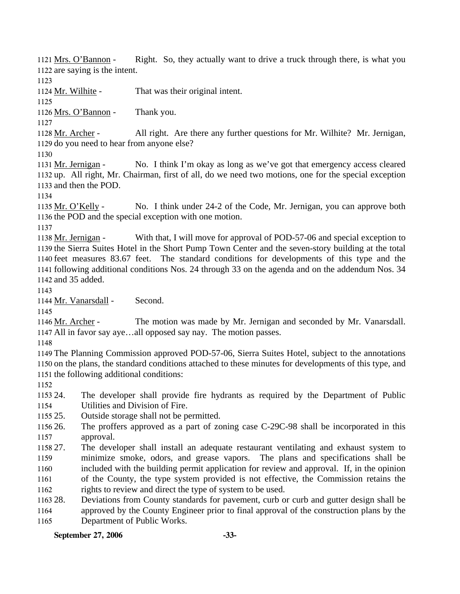Right. So, they actually want to drive a truck through there, is what you 1122 are saying is the intent. 1121 Mrs. O'Bannon -

1123

1124 Mr. Wilhite - That was their original intent.

1125

1126 Mrs. O'Bannon - Thank you.

1127

All right. Are there any further questions for Mr. Wilhite? Mr. Jernigan, 1129 do you need to hear from anyone else? 1128 Mr. Archer -

1130

No. I think I'm okay as long as we've got that emergency access cleared 1132 up. All right, Mr. Chairman, first of all, do we need two motions, one for the special exception 1133 and then the POD. 1131 Mr. Jernigan -

1134

No. I think under 24-2 of the Code, Mr. Jernigan, you can approve both 1136 the POD and the special exception with one motion. 1135 Mr. O'Kelly -

1137

With that, I will move for approval of POD-57-06 and special exception to 1139 the Sierra Suites Hotel in the Short Pump Town Center and the seven-story building at the total 1140 feet measures 83.67 feet. The standard conditions for developments of this type and the 1141 following additional conditions Nos. 24 through 33 on the agenda and on the addendum Nos. 34 1142 and 35 added. 1138 Mr. Jernigan -

1143

1144 Mr. Vanarsdall - Second.

1145

The motion was made by Mr. Jernigan and seconded by Mr. Vanarsdall. 1147 All in favor say aye...all opposed say nay. The motion passes. 1146 Mr. Archer -

1148

1149 The Planning Commission approved POD-57-06, Sierra Suites Hotel, subject to the annotations 1150 on the plans, the standard conditions attached to these minutes for developments of this type, and 1151 the following additional conditions:

1152

1153 24. 1154 The developer shall provide fire hydrants as required by the Department of Public Utilities and Division of Fire.

1155 25. Outside storage shall not be permitted.

1156 26 1157 The proffers approved as a part of zoning case C-29C-98 shall be incorporated in this approval.

1158 27. 1159 1160 1161 27. The developer shall install an adequate restaurant ventilating and exhaust system to minimize smoke, odors, and grease vapors. The plans and specifications shall be included with the building permit application for review and approval. If, in the opinion of the County, the type system provided is not effective, the Commission retains the

1162 rights to review and direct the type of system to be used.

1163 28. 1164 1165 28. Deviations from County standards for pavement, curb or curb and gutter design shall be approved by the County Engineer prior to final approval of the construction plans by the Department of Public Works.

**September 27, 2006 -33-**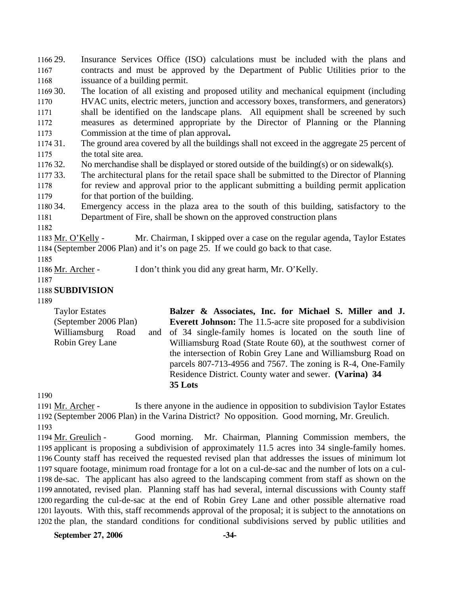1166 29. 1167 1168 1169 30. 1170 1171 1172 1173 1174 31. 1175 1176 32. 1177 33. 1178 1179 1180 34. 1181 1182 Insurance Services Office (ISO) calculations must be included with the plans and contracts and must be approved by the Department of Public Utilities prior to the issuance of a building permit. The location of all existing and proposed utility and mechanical equipment (including HVAC units, electric meters, junction and accessory boxes, transformers, and generators) shall be identified on the landscape plans. All equipment shall be screened by such measures as determined appropriate by the Director of Planning or the Planning Commission at the time of plan approval**.**  The ground area covered by all the buildings shall not exceed in the aggregate 25 percent of the total site area. No merchandise shall be displayed or stored outside of the building(s) or on sidewalk(s). The architectural plans for the retail space shall be submitted to the Director of Planning for review and approval prior to the applicant submitting a building permit application for that portion of the building. Emergency access in the plaza area to the south of this building, satisfactory to the Department of Fire, shall be shown on the approved construction plans Mr. Chairman, I skipped over a case on the regular agenda, Taylor Estates (September 2006 Plan) and it's on page 25. If we could go back to that case. 1184 1183 Mr. O'Kelly -1185 1186 Mr. Archer - I don't think you did any great harm, Mr. O'Kelly.

1187

## 1188 **SUBDIVISION**

1189

Taylor Estates (September 2006 Plan) Williamsburg Road Robin Grey Lane **Balzer & Associates, Inc. for Michael S. Miller and J. Everett Johnson:** The 11.5-acre site proposed for a subdivision and of 34 single-family homes is located on the south line of Williamsburg Road (State Route 60), at the southwest corner of the intersection of Robin Grey Lane and Williamsburg Road on parcels 807-713-4956 and 7567. The zoning is R-4, One-Family Residence District. County water and sewer. **(Varina) 34 35 Lots** 

1190

Is there anyone in the audience in opposition to subdivision Taylor Estates 1192 (September 2006 Plan) in the Varina District? No opposition. Good morning, Mr. Greulich. 1191 Mr. Archer -

1193

Good morning. Mr. Chairman, Planning Commission members, the 1195 applicant is proposing a subdivision of approximately 11.5 acres into 34 single-family homes. County staff has received the requested revised plan that addresses the issues of minimum lot 1196 1197 square footage, minimum road frontage for a lot on a cul-de-sac and the number of lots on a cul-1198 de-sac. The applicant has also agreed to the landscaping comment from staff as shown on the 1199 annotated, revised plan. Planning staff has had several, internal discussions with County staff 1200 regarding the cul-de-sac at the end of Robin Grey Lane and other possible alternative road 1201 layouts. With this, staff recommends approval of the proposal; it is subject to the annotations on 1202 the plan, the standard conditions for conditional subdivisions served by public utilities and 1194 Mr. Greulich -

**September 27, 2006 -34-**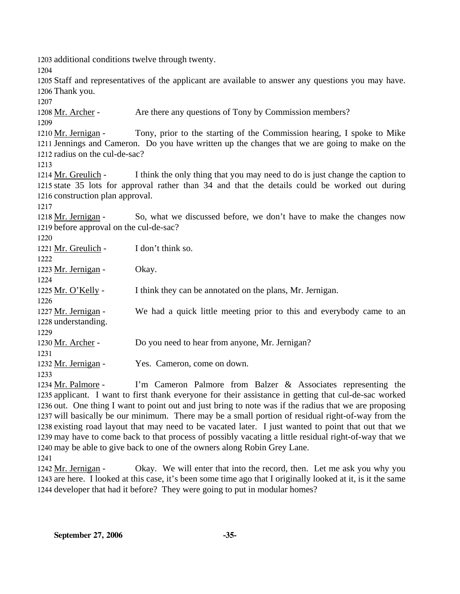1203 additional conditions twelve through twenty.

1204

1205 Staff and representatives of the applicant are available to answer any questions you may have. 1206 Thank you.

1207

1208 Mr. Archer - Are there any questions of Tony by Commission members?

1209

Tony, prior to the starting of the Commission hearing, I spoke to Mike 1211 Jennings and Cameron. Do you have written up the changes that we are going to make on the 1212 radius on the cul-de-sac? 1210 Mr. Jernigan -

1213

I think the only thing that you may need to do is just change the caption to 1215 state 35 lots for approval rather than 34 and that the details could be worked out during 1216 construction plan approval. 1214 Mr. Greulich -

1217

So, what we discussed before, we don't have to make the changes now 1219 before approval on the cul-de-sac? 1218 Mr. Jernigan -

 $1220$ 

| 1440 V              |                                                                      |
|---------------------|----------------------------------------------------------------------|
| 1221 Mr. Greulich - | I don't think so.                                                    |
| 1222                |                                                                      |
| 1223 Mr. Jernigan - | Okay.                                                                |
| 1224                |                                                                      |
| 1225 Mr. O'Kelly -  | I think they can be annotated on the plans, Mr. Jernigan.            |
| 1226                |                                                                      |
| 1227 Mr. Jernigan - | We had a quick little meeting prior to this and everybody came to an |
| 1228 understanding. |                                                                      |
| 1229                |                                                                      |
| 1230 Mr. Archer -   | Do you need to hear from anyone, Mr. Jernigan?                       |
| 1231                |                                                                      |
| 1232 Mr. Jernigan - | Yes. Cameron, come on down.                                          |
| 1233                |                                                                      |

I'm Cameron Palmore from Balzer  $\&$  Associates representing the 1235 applicant. I want to first thank everyone for their assistance in getting that cul-de-sac worked 1236 out. One thing I want to point out and just bring to note was if the radius that we are proposing 1237 will basically be our minimum. There may be a small portion of residual right-of-way from the 1238 existing road layout that may need to be vacated later. I just wanted to point that out that we 1239 may have to come back to that process of possibly vacating a little residual right-of-way that we 1240 may be able to give back to one of the owners along Robin Grey Lane. 1234 Mr. Palmore -1241

Okay. We will enter that into the record, then. Let me ask you why you 1243 are here. I looked at this case, it's been some time ago that I originally looked at it, is it the same 1244 developer that had it before? They were going to put in modular homes? 1242 Mr. Jernigan -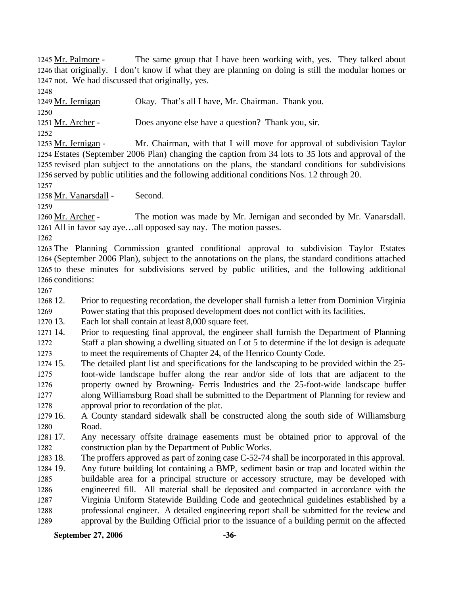The same group that I have been working with, yes. They talked about 1246 that originally. I don't know if what they are planning on doing is still the modular homes or 1247 not. We had discussed that originally, yes. 1245 Mr. Palmore -

1248

1249 Mr. Jernigan Okay. That's all I have, Mr. Chairman. Thank you. 1250 1251 <u>Mr. Archer</u> - Does anyone else have a question? Thank you, sir. 1252

Mr. Chairman, with that I will move for approval of subdivision Taylor Estates (September 2006 Plan) changing the caption from 34 lots to 35 lots and approval of the 1254 1255 revised plan subject to the annotations on the plans, the standard conditions for subdivisions 1256 served by public utilities and the following additional conditions Nos. 12 through 20. 1253 Mr. Jernigan -

1257

1258 Mr. Vanarsdall - Second.

1259

The motion was made by Mr. Jernigan and seconded by Mr. Vanarsdall. 1261 All in favor say aye...all opposed say nay. The motion passes. 1260 Mr. Archer -

1262

 The Planning Commission granted conditional approval to subdivision Taylor Estates (September 2006 Plan), subject to the annotations on the plans, the standard conditions attached to these minutes for subdivisions served by public utilities, and the following additional conditions:

1267

1268 12. Prior to requesting recordation, the developer shall furnish a letter from Dominion Virginia

1269 Power stating that this proposed development does not conflict with its facilities.

1270 13. Each lot shall contain at least 8,000 square feet.

1271 14. 1272 1273 Prior to requesting final approval, the engineer shall furnish the Department of Planning Staff a plan showing a dwelling situated on Lot 5 to determine if the lot design is adequate to meet the requirements of Chapter 24, of the Henrico County Code.

1274 15. 1275 1276 1277 1278 15. The detailed plant list and specifications for the landscaping to be provided within the 25 foot-wide landscape buffer along the rear and/or side of lots that are adjacent to the property owned by Browning- Ferris Industries and the 25-foot-wide landscape buffer along Williamsburg Road shall be submitted to the Department of Planning for review and approval prior to recordation of the plat.

1279 16. 1280 16. A County standard sidewalk shall be constructed along the south side of Williamsburg Road.

1281 17. 1282 Any necessary offsite drainage easements must be obtained prior to approval of the construction plan by the Department of Public Works.

1283 18. The proffers approved as part of zoning case C-52-74 shall be incorporated in this approval.

1284 19. 1285 1286 1287 1288 1289 Any future building lot containing a BMP, sediment basin or trap and located within the buildable area for a principal structure or accessory structure, may be developed with engineered fill. All material shall be deposited and compacted in accordance with the Virginia Uniform Statewide Building Code and geotechnical guidelines established by a professional engineer. A detailed engineering report shall be submitted for the review and approval by the Building Official prior to the issuance of a building permit on the affected

**September 27, 2006 -36-**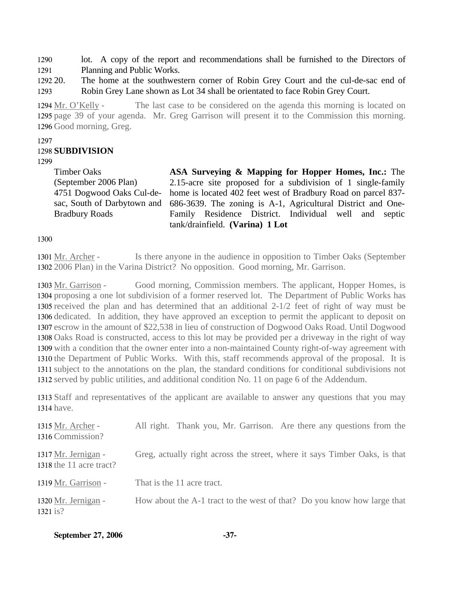1290 1291 lot. A copy of the report and recommendations shall be furnished to the Directors of Planning and Public Works.

1292 20. 1293 The home at the southwestern corner of Robin Grey Court and the cul-de-sac end of Robin Grey Lane shown as Lot 34 shall be orientated to face Robin Grey Court.

The last case to be considered on the agenda this morning is located on 1295 page 39 of your agenda. Mr. Greg Garrison will present it to the Commission this morning. 1296 Good morning, Greg. 1294 Mr. O'Kelly -

#### 1297

#### 1298 **SUBDIVISION**

1299

Timber Oaks (September 2006 Plan) 4751 Dogwood Oaks Cul-desac, South of Darbytown and Bradbury Roads

**ASA Surveying & Mapping for Hopper Homes, Inc.:** The 2.15-acre site proposed for a subdivision of 1 single-family home is located 402 feet west of Bradbury Road on parcel 837- 686-3639. The zoning is A-1, Agricultural District and One-Family Residence District. Individual well and septic tank/drainfield. **(Varina) 1 Lot** 

1300

Is there anyone in the audience in opposition to Timber Oaks (September 2006 Plan) in the Varina District? No opposition. Good morning, Mr. Garrison. 1302 1301 Mr. Archer -

Good morning, Commission members. The applicant, Hopper Homes, is 1304 proposing a one lot subdivision of a former reserved lot. The Department of Public Works has 1305 received the plan and has determined that an additional  $2-1/2$  feet of right of way must be 1306 dedicated. In addition, they have approved an exception to permit the applicant to deposit on 1307 escrow in the amount of \$22,538 in lieu of construction of Dogwood Oaks Road. Until Dogwood 1308 Oaks Road is constructed, access to this lot may be provided per a driveway in the right of way 1309 with a condition that the owner enter into a non-maintained County right-of-way agreement with 1310 the Department of Public Works. With this, staff recommends approval of the proposal. It is 1311 subject to the annotations on the plan, the standard conditions for conditional subdivisions not 1312 served by public utilities, and additional condition No. 11 on page 6 of the Addendum. 1303 Mr. Garrison -

1313 Staff and representatives of the applicant are available to answer any questions that you may 1314 have.

| 1315 Mr. Archer -<br>1316 Commission?          | All right. Thank you, Mr. Garrison. Are there any questions from the       |
|------------------------------------------------|----------------------------------------------------------------------------|
| 1317 Mr. Jernigan -<br>1318 the 11 acre tract? | Greg, actually right across the street, where it says Timber Oaks, is that |
| 1319 Mr. Garrison -                            | That is the 11 acre tract.                                                 |
| 1320 Mr. Jernigan -<br>1321 is?                | How about the A-1 tract to the west of that? Do you know how large that    |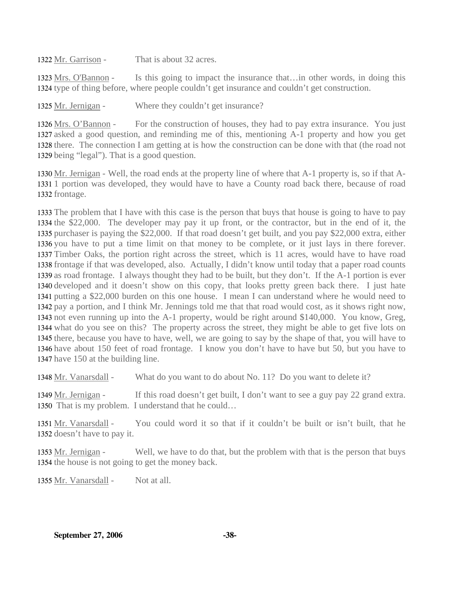1322 Mr. Garrison - That is about 32 acres.

Is this going to impact the insurance that…in other words, in doing this 1324 type of thing before, where people couldn't get insurance and couldn't get construction. 1323 Mrs. O'Bannon -

1325 Mr. Jernigan - Where they couldn't get insurance?

For the construction of houses, they had to pay extra insurance. You just 1327 asked a good question, and reminding me of this, mentioning A-1 property and how you get 1328 there. The connection I am getting at is how the construction can be done with that (the road not 1329 being "legal"). That is a good question. 1326 Mrs. O'Bannon -

1330 Mr. Jernigan - Well, the road ends at the property line of where that A-1 property is, so if that A-1331 1 portion was developed, they would have to have a County road back there, because of road 1332 frontage.

 The problem that I have with this case is the person that buys that house is going to have to pay the \$22,000. The developer may pay it up front, or the contractor, but in the end of it, the purchaser is paying the \$22,000. If that road doesn't get built, and you pay \$22,000 extra, either you have to put a time limit on that money to be complete, or it just lays in there forever. Timber Oaks, the portion right across the street, which is 11 acres, would have to have road frontage if that was developed, also. Actually, I didn't know until today that a paper road counts as road frontage. I always thought they had to be built, but they don't. If the A-1 portion is ever developed and it doesn't show on this copy, that looks pretty green back there. I just hate putting a \$22,000 burden on this one house. I mean I can understand where he would need to pay a portion, and I think Mr. Jennings told me that that road would cost, as it shows right now, not even running up into the A-1 property, would be right around \$140,000. You know, Greg, what do you see on this? The property across the street, they might be able to get five lots on there, because you have to have, well, we are going to say by the shape of that, you will have to have about 150 feet of road frontage. I know you don't have to have but 50, but you have to have 150 at the building line.

1348 Mr. Vanarsdall - What do you want to do about No. 11? Do you want to delete it?

If this road doesn't get built, I don't want to see a guy pay 22 grand extra. 1350 That is my problem. I understand that he could... 1349 Mr. Jernigan -

You could word it so that if it couldn't be built or isn't built, that he 1352 doesn't have to pay it. 1351 Mr. Vanarsdall -

Well, we have to do that, but the problem with that is the person that buys 1354 the house is not going to get the money back. 1353 Mr. Jernigan -

1355 Mr. Vanarsdall - Not at all.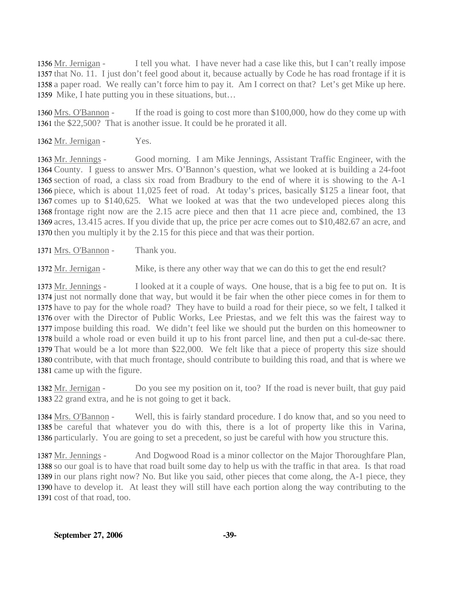I tell you what. I have never had a case like this, but I can't really impose 1357 that No. 11. I just don't feel good about it, because actually by Code he has road frontage if it is 1358 a paper road. We really can't force him to pay it. Am I correct on that? Let's get Mike up here. 1359 Mike, I hate putting you in these situations, but... 1356 Mr. Jernigan -

If the road is going to cost more than  $$100,000$ , how do they come up with 1361 the \$22,500? That is another issue. It could be he prorated it all. 1360 Mrs. O'Bannon -

1362 Mr. Jernigan - Yes.

Good morning. I am Mike Jennings, Assistant Traffic Engineer, with the 1364 County. I guess to answer Mrs. O'Bannon's question, what we looked at is building a 24-foot 1365 section of road, a class six road from Bradbury to the end of where it is showing to the A-1 1366 piece, which is about 11,025 feet of road. At today's prices, basically \$125 a linear foot, that 1367 comes up to \$140,625. What we looked at was that the two undeveloped pieces along this 1368 frontage right now are the 2.15 acre piece and then that 11 acre piece and, combined, the 13 1369 acres, 13.415 acres. If you divide that up, the price per acre comes out to \$10,482.67 an acre, and 1370 then you multiply it by the 2.15 for this piece and that was their portion. 1363 Mr. Jennings -

1371 Mrs. O'Bannon - Thank you.

1372 Mr. Jernigan - Mike, is there any other way that we can do this to get the end result?

I looked at it a couple of ways. One house, that is a big fee to put on. It is 1374 just not normally done that way, but would it be fair when the other piece comes in for them to 1375 have to pay for the whole road? They have to build a road for their piece, so we felt, I talked it 1376 over with the Director of Public Works, Lee Priestas, and we felt this was the fairest way to 1377 impose building this road. We didn't feel like we should put the burden on this homeowner to 1378 build a whole road or even build it up to his front parcel line, and then put a cul-de-sac there. 1379 That would be a lot more than \$22,000. We felt like that a piece of property this size should 1380 contribute, with that much frontage, should contribute to building this road, and that is where we 1381 came up with the figure. 1373 Mr. Jennings -

Do you see my position on it, too? If the road is never built, that guy paid 1383 22 grand extra, and he is not going to get it back. 1382 Mr. Jernigan -

Well, this is fairly standard procedure. I do know that, and so you need to 1385 be careful that whatever you do with this, there is a lot of property like this in Varina, 1386 particularly. You are going to set a precedent, so just be careful with how you structure this. 1384 Mrs. O'Bannon -

And Dogwood Road is a minor collector on the Major Thoroughfare Plan, 1388 so our goal is to have that road built some day to help us with the traffic in that area. Is that road 1389 in our plans right now? No. But like you said, other pieces that come along, the A-1 piece, they 1390 have to develop it. At least they will still have each portion along the way contributing to the 1391 cost of that road, too. 1387 Mr. Jennings -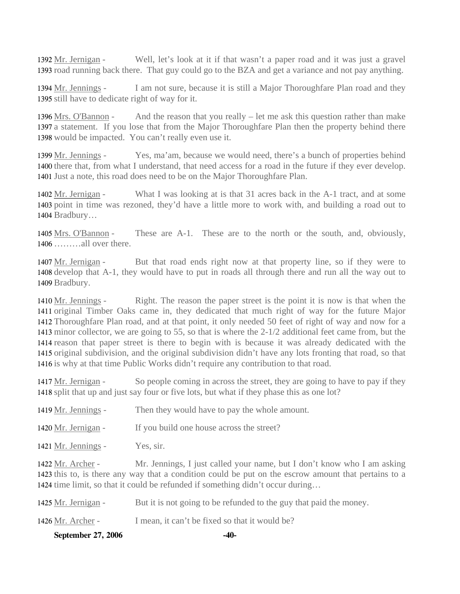Well, let's look at it if that wasn't a paper road and it was just a gravel 1393 road running back there. That guy could go to the BZA and get a variance and not pay anything. 1392 Mr. Jernigan -

I am not sure, because it is still a Major Thoroughfare Plan road and they 1395 still have to dedicate right of way for it. 1394 Mr. Jennings -

And the reason that you really  $-$  let me ask this question rather than make 1397 a statement. If you lose that from the Major Thoroughfare Plan then the property behind there 1398 would be impacted. You can't really even use it. 1396 Mrs. O'Bannon -

Yes, ma'am, because we would need, there's a bunch of properties behind 1400 there that, from what I understand, that need access for a road in the future if they ever develop. 1401 Just a note, this road does need to be on the Major Thoroughfare Plan. 1399 Mr. Jennings -

What I was looking at is that 31 acres back in the A-1 tract, and at some 1403 point in time was rezoned, they'd have a little more to work with, and building a road out to 1404 Bradbury... 1402 Mr. Jernigan -

These are A-1. These are to the north or the south, and, obviously, ………all over there. 1406 1405 Mrs. O'Bannon -

But that road ends right now at that property line, so if they were to 1408 develop that A-1, they would have to put in roads all through there and run all the way out to 1409 Bradbury. 1407 Mr. Jernigan -

Right. The reason the paper street is the point it is now is that when the 1411 original Timber Oaks came in, they dedicated that much right of way for the future Major 1412 Thoroughfare Plan road, and at that point, it only needed 50 feet of right of way and now for a 1413 minor collector, we are going to 55, so that is where the 2-1/2 additional feet came from, but the 1414 reason that paper street is there to begin with is because it was already dedicated with the 1415 original subdivision, and the original subdivision didn't have any lots fronting that road, so that 1416 is why at that time Public Works didn't require any contribution to that road. 1410 Mr. Jennings -

So people coming in across the street, they are going to have to pay if they 1418 split that up and just say four or five lots, but what if they phase this as one lot? 1417 Mr. Jernigan -

| 1419 Mr. Jennings -                                          | Then they would have to pay the whole amount.         |
|--------------------------------------------------------------|-------------------------------------------------------|
| 1420 Mr. Jernigan -                                          | If you build one house across the street?             |
| 1421 Mr. Jennings -                                          | Yes, sir.                                             |
| $1422 \text{ M}$ $\uparrow$ $\uparrow$ $\uparrow$ $\uparrow$ | Mr Ionnings I just colled your name but I don't know. |

Mr. Jennings, I just called your name, but I don't know who I am asking 1423 this to, is there any way that a condition could be put on the escrow amount that pertains to a 1424 time limit, so that it could be refunded if something didn't occur during... 1422 Mr. Archer -

| September 27, 2006  | $-40-$                                                             |
|---------------------|--------------------------------------------------------------------|
| 1426 Mr. Archer -   | I mean, it can't be fixed so that it would be?                     |
| 1425 Mr. Jernigan - | But it is not going to be refunded to the guy that paid the money. |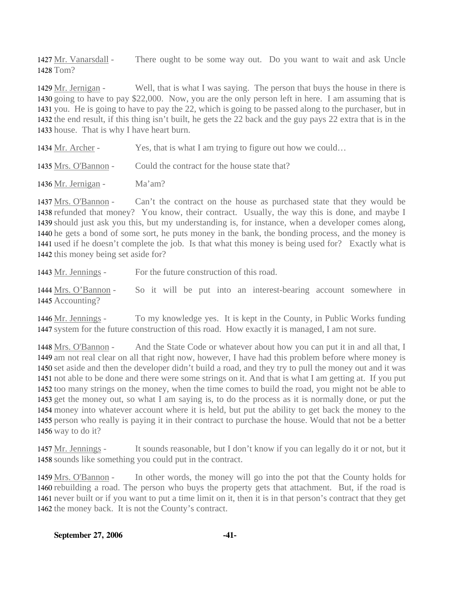There ought to be some way out. Do you want to wait and ask Uncle 1428 Tom? 1427 Mr. Vanarsdall -

Well, that is what I was saying. The person that buys the house in there is 1430 going to have to pay \$22,000. Now, you are the only person left in here. I am assuming that is 1431 you. He is going to have to pay the 22, which is going to be passed along to the purchaser, but in 1432 the end result, if this thing isn't built, he gets the 22 back and the guy pays 22 extra that is in the 1433 house. That is why I have heart burn. 1429 Mr. Jernigan -

| 1434 Mr. Archer - | Yes, that is what I am trying to figure out how we could |
|-------------------|----------------------------------------------------------|
|                   |                                                          |

1435 Mrs. O'Bannon - Could the contract for the house state that?

1436 Mr. Jernigan - Ma'am?

Can't the contract on the house as purchased state that they would be 1438 refunded that money? You know, their contract. Usually, the way this is done, and maybe I 1439 should just ask you this, but my understanding is, for instance, when a developer comes along, 1440 he gets a bond of some sort, he puts money in the bank, the bonding process, and the money is 1441 used if he doesn't complete the job. Is that what this money is being used for? Exactly what is 1442 this money being set aside for? 1437 Mrs. O'Bannon -

1443 Mr. Jennings - For the future construction of this road.

So it will be put into an interest-bearing account somewhere in 1445 Accounting? 1444 Mrs. O'Bannon -

To my knowledge yes. It is kept in the County, in Public Works funding 1447 system for the future construction of this road. How exactly it is managed, I am not sure. 1446 Mr. Jennings -

And the State Code or whatever about how you can put it in and all that, I 1449 am not real clear on all that right now, however, I have had this problem before where money is 1450 set aside and then the developer didn't build a road, and they try to pull the money out and it was 1451 not able to be done and there were some strings on it. And that is what I am getting at. If you put 1452 too many strings on the money, when the time comes to build the road, you might not be able to 1453 get the money out, so what I am saying is, to do the process as it is normally done, or put the 1454 money into whatever account where it is held, but put the ability to get back the money to the 1455 person who really is paying it in their contract to purchase the house. Would that not be a better 1456 way to do it? 1448 Mrs. O'Bannon -

It sounds reasonable, but I don't know if you can legally do it or not, but it 1458 sounds like something you could put in the contract. 1457 Mr. Jennings -

In other words, the money will go into the pot that the County holds for 1460 rebuilding a road. The person who buys the property gets that attachment. But, if the road is 1461 never built or if you want to put a time limit on it, then it is in that person's contract that they get 1462 the money back. It is not the County's contract. 1459 Mrs. O'Bannon -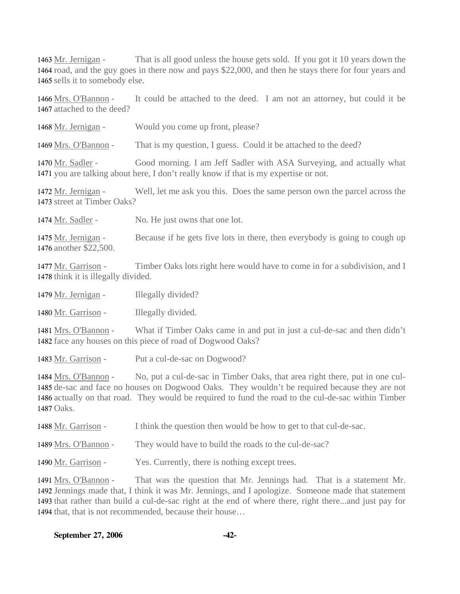That is all good unless the house gets sold. If you got it 10 years down the 1464 road, and the guy goes in there now and pays \$22,000, and then he stays there for four years and 1465 sells it to somebody else. 1463 Mr. Jernigan -

It could be attached to the deed. I am not an attorney, but could it be 1467 attached to the deed? 1466 Mrs. O'Bannon -

1468 Mr. Jernigan - Would you come up front, please?

1469 Mrs. O'Bannon - That is my question, I guess. Could it be attached to the deed?

Good morning. I am Jeff Sadler with ASA Surveying, and actually what 1471 you are talking about here, I don't really know if that is my expertise or not. 1470 Mr. Sadler -

Well, let me ask you this. Does the same person own the parcel across the 1473 street at Timber Oaks? 1472 Mr. Jernigan -

1474 Mr. Sadler - No. He just owns that one lot.

Because if he gets five lots in there, then everybody is going to cough up 1476 another \$22,500. 1475 Mr. Jernigan -

Timber Oaks lots right here would have to come in for a subdivision, and I 1478 think it is illegally divided. 1477 Mr. Garrison -

1479 Mr. Jernigan - Illegally divided?

1480 Mr. Garrison - Illegally divided.

What if Timber Oaks came in and put in just a cul-de-sac and then didn't 1482 face any houses on this piece of road of Dogwood Oaks? 1481 Mrs. O'Bannon -

1483 Mr. Garrison - Put a cul-de-sac on Dogwood?

No, put a cul-de-sac in Timber Oaks, that area right there, put in one cul-1485 de-sac and face no houses on Dogwood Oaks. They wouldn't be required because they are not 1486 actually on that road. They would be required to fund the road to the cul-de-sac within Timber 1487 Oaks. 1484 Mrs. O'Bannon -

| I think the question then would be how to get to that cul-de-sac.<br>1488 Mr. Garrison - |
|------------------------------------------------------------------------------------------|
|------------------------------------------------------------------------------------------|

1489 Mrs. O'Bannon - They would have to build the roads to the cul-de-sac?

1490 Mr. Garrison - Yes. Currently, there is nothing except trees.

That was the question that Mr. Jennings had. That is a statement Mr. 1492 Jennings made that, I think it was Mr. Jennings, and I apologize. Someone made that statement 1493 that rather than build a cul-de-sac right at the end of where there, right there...and just pay for 1494 that, that is not recommended, because their house... 1491 Mrs. O'Bannon -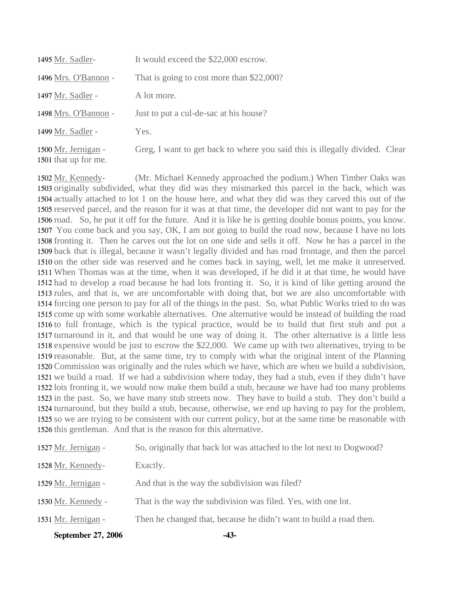| 1495 Mr. Sadler-                            | It would exceed the \$22,000 escrow.                                        |
|---------------------------------------------|-----------------------------------------------------------------------------|
| 1496 Mrs. O'Bannon -                        | That is going to cost more than \$22,000?                                   |
| 1497 Mr. Sadler -                           | A lot more.                                                                 |
| 1498 Mrs. O'Bannon -                        | Just to put a cul-de-sac at his house?                                      |
| 1499 Mr. Sadler -                           | Yes.                                                                        |
| 1500 Mr. Jernigan -<br>1501 that up for me. | Greg, I want to get back to where you said this is illegally divided. Clear |

(Mr. Michael Kennedy approached the podium.) When Timber Oaks was 1503 originally subdivided, what they did was they mismarked this parcel in the back, which was 1504 actually attached to lot 1 on the house here, and what they did was they carved this out of the 1505 reserved parcel, and the reason for it was at that time, the developer did not want to pay for the 1506 road. So, he put it off for the future. And it is like he is getting double bonus points, you know. 1507 You come back and you say, OK, I am not going to build the road now, because I have no lots 1508 fronting it. Then he carves out the lot on one side and sells it off. Now he has a parcel in the 1509 back that is illegal, because it wasn't legally divided and has road frontage, and then the parcel 1510 on the other side was reserved and he comes back in saying, well, let me make it unreserved. When Thomas was at the time, when it was developed, if he did it at that time, he would have 1511 1512 had to develop a road because he had lots fronting it. So, it is kind of like getting around the 1513 rules, and that is, we are uncomfortable with doing that, but we are also uncomfortable with 1514 forcing one person to pay for all of the things in the past. So, what Public Works tried to do was 1515 come up with some workable alternatives. One alternative would be instead of building the road 1516 to full frontage, which is the typical practice, would be to build that first stub and put a 1517 turnaround in it, and that would be one way of doing it. The other alternative is a little less 1518 expensive would be just to escrow the \$22,000. We came up with two alternatives, trying to be 1519 reasonable. But, at the same time, try to comply with what the original intent of the Planning 1520 Commission was originally and the rules which we have, which are when we build a subdivision, 1521 we build a road. If we had a subdivision where today, they had a stub, even if they didn't have 1522 lots fronting it, we would now make them build a stub, because we have had too many problems 1523 in the past. So, we have many stub streets now. They have to build a stub. They don't build a 1524 turnaround, but they build a stub, because, otherwise, we end up having to pay for the problem, 1525 so we are trying to be consistent with our current policy, but at the same time be reasonable with 1526 this gentleman. And that is the reason for this alternative. 1502 Mr. Kennedy-

| September 27, 2006  | -43-                                                                  |
|---------------------|-----------------------------------------------------------------------|
| 1531 Mr. Jernigan - | Then he changed that, because he didn't want to build a road then.    |
| 1530 Mr. Kennedy -  | That is the way the subdivision was filed. Yes, with one lot.         |
| 1529 Mr. Jernigan - | And that is the way the subdivision was filed?                        |
| 1528 Mr. Kennedy-   | Exactly.                                                              |
| 1527 Mr. Jernigan - | So, originally that back lot was attached to the lot next to Dogwood? |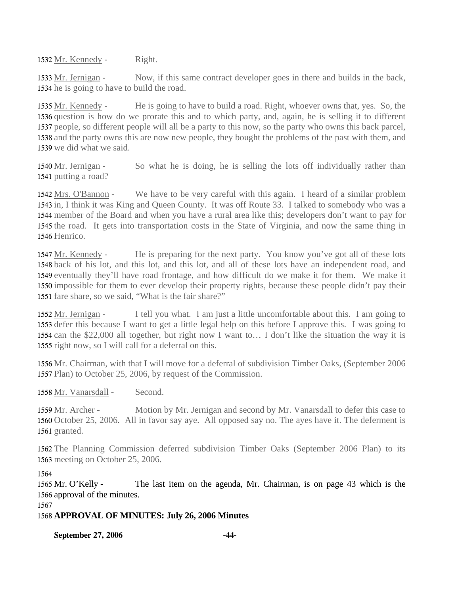1532 Mr. Kennedy - Right.

Now, if this same contract developer goes in there and builds in the back, 1534 he is going to have to build the road. 1533 Mr. Jernigan -

He is going to have to build a road. Right, whoever owns that, yes. So, the 1536 question is how do we prorate this and to which party, and, again, he is selling it to different 1537 people, so different people will all be a party to this now, so the party who owns this back parcel, 1538 and the party owns this are now new people, they bought the problems of the past with them, and 1539 we did what we said. 1535 Mr. Kennedy -

So what he is doing, he is selling the lots off individually rather than 1541 putting a road? 1540 Mr. Jernigan -

We have to be very careful with this again. I heard of a similar problem 1543 in, I think it was King and Queen County. It was off Route 33. I talked to somebody who was a 1544 member of the Board and when you have a rural area like this; developers don't want to pay for 1545 the road. It gets into transportation costs in the State of Virginia, and now the same thing in 1546 Henrico. 1542 Mrs. O'Bannon -

He is preparing for the next party. You know you've got all of these lots 1548 back of his lot, and this lot, and this lot, and all of these lots have an independent road, and 1549 eventually they'll have road frontage, and how difficult do we make it for them. We make it 1550 impossible for them to ever develop their property rights, because these people didn't pay their 1551 fare share, so we said, "What is the fair share?" 1547 Mr. Kennedy -

I tell you what. I am just a little uncomfortable about this. I am going to 1553 defer this because I want to get a little legal help on this before I approve this. I was going to 1554 can the \$22,000 all together, but right now I want to... I don't like the situation the way it is 1555 right now, so I will call for a deferral on this. 1552 Mr. Jernigan -

1556 Mr. Chairman, with that I will move for a deferral of subdivision Timber Oaks, (September 2006 1557 Plan) to October 25, 2006, by request of the Commission.

1558 Mr. Vanarsdall - Second.

Motion by Mr. Jernigan and second by Mr. Vanarsdall to defer this case to 1560 October 25, 2006. All in favor say aye. All opposed say no. The ayes have it. The deferment is 1561 granted. 1559 Mr. Archer -

1562 The Planning Commission deferred subdivision Timber Oaks (September 2006 Plan) to its 1563 meeting on October 25, 2006.

1564

The last item on the agenda, Mr. Chairman, is on page 43 which is the 1566 approval of the minutes. 1565 Mr. O'Kelly -

1567

1568 **APPROVAL OF MINUTES: July 26, 2006 Minutes** 

**September 27, 2006 -44-**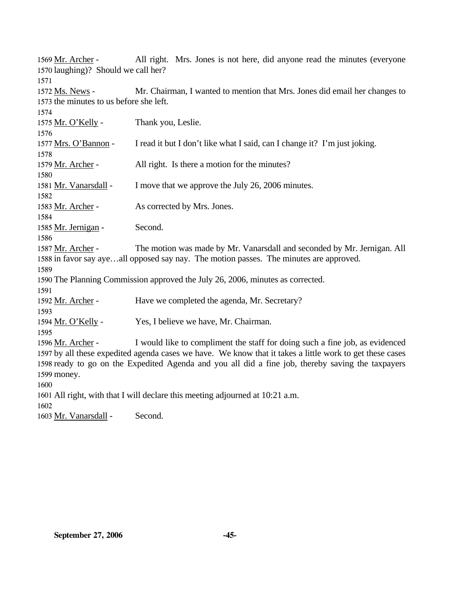| 1569 Mr. Archer -                                                              | All right. Mrs. Jones is not here, did anyone read the minutes (everyone                                 |  |  |
|--------------------------------------------------------------------------------|----------------------------------------------------------------------------------------------------------|--|--|
| 1570 laughing)? Should we call her?                                            |                                                                                                          |  |  |
| 1571                                                                           |                                                                                                          |  |  |
| 1572 Ms. News -                                                                | Mr. Chairman, I wanted to mention that Mrs. Jones did email her changes to                               |  |  |
| 1573 the minutes to us before she left.                                        |                                                                                                          |  |  |
| 1574                                                                           |                                                                                                          |  |  |
| 1575 Mr. O'Kelly -                                                             | Thank you, Leslie.                                                                                       |  |  |
| 1576                                                                           |                                                                                                          |  |  |
| 1577 Mrs. O'Bannon -                                                           | I read it but I don't like what I said, can I change it? I'm just joking.                                |  |  |
| 1578                                                                           |                                                                                                          |  |  |
| 1579 Mr. Archer -<br>1580                                                      | All right. Is there a motion for the minutes?                                                            |  |  |
| 1581 Mr. Vanarsdall -                                                          | I move that we approve the July 26, 2006 minutes.                                                        |  |  |
| 1582                                                                           |                                                                                                          |  |  |
| 1583 Mr. Archer -                                                              | As corrected by Mrs. Jones.                                                                              |  |  |
| 1584                                                                           |                                                                                                          |  |  |
| 1585 Mr. Jernigan -                                                            | Second.                                                                                                  |  |  |
| 1586                                                                           |                                                                                                          |  |  |
| 1587 Mr. Archer -                                                              | The motion was made by Mr. Vanarsdall and seconded by Mr. Jernigan. All                                  |  |  |
|                                                                                | 1588 in favor say ayeall opposed say nay. The motion passes. The minutes are approved.                   |  |  |
| 1589                                                                           |                                                                                                          |  |  |
| 1590 The Planning Commission approved the July 26, 2006, minutes as corrected. |                                                                                                          |  |  |
| 1591                                                                           |                                                                                                          |  |  |
| 1592 Mr. Archer -                                                              | Have we completed the agenda, Mr. Secretary?                                                             |  |  |
| 1593                                                                           |                                                                                                          |  |  |
| 1594 Mr. O'Kelly -                                                             | Yes, I believe we have, Mr. Chairman.                                                                    |  |  |
| 1595                                                                           |                                                                                                          |  |  |
| 1596 Mr. Archer -                                                              | I would like to compliment the staff for doing such a fine job, as evidenced                             |  |  |
|                                                                                | 1597 by all these expedited agenda cases we have. We know that it takes a little work to get these cases |  |  |
|                                                                                | 1598 ready to go on the Expedited Agenda and you all did a fine job, thereby saving the taxpayers        |  |  |
| 1599 money.                                                                    |                                                                                                          |  |  |
| 1600                                                                           |                                                                                                          |  |  |
| 1601 All right, with that I will declare this meeting adjourned at 10:21 a.m.  |                                                                                                          |  |  |
| 1602                                                                           |                                                                                                          |  |  |
| 1603 Mr. Vanarsdall -                                                          | Second.                                                                                                  |  |  |